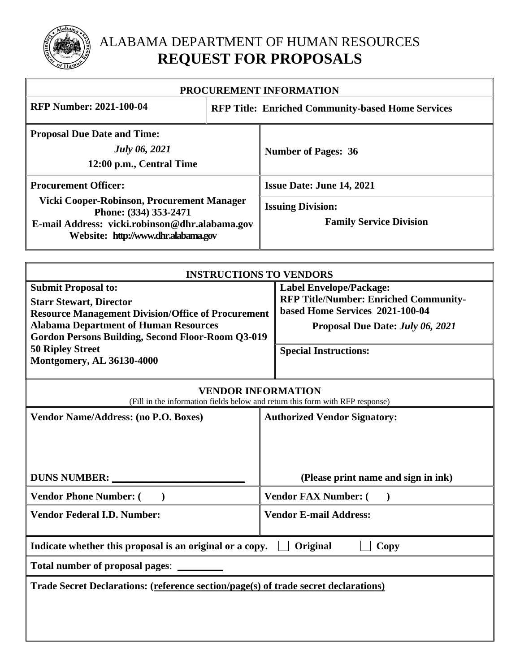

# ALABAMA DEPARTMENT OF HUMAN RESOURCES **REQUEST FOR PROPOSALS**

| PROCUREMENT INFORMATION                                                                                                                                      |                                                          |                                                                         |  |
|--------------------------------------------------------------------------------------------------------------------------------------------------------------|----------------------------------------------------------|-------------------------------------------------------------------------|--|
| <b>RFP Number: 2021-100-04</b>                                                                                                                               | <b>RFP Title: Enriched Community-based Home Services</b> |                                                                         |  |
| <b>Proposal Due Date and Time:</b><br><b>July 06, 2021</b><br>12:00 p.m., Central Time                                                                       |                                                          | <b>Number of Pages: 36</b>                                              |  |
| <b>Procurement Officer:</b>                                                                                                                                  |                                                          | <b>Issue Date: June 14, 2021</b>                                        |  |
| Vicki Cooper-Robinson, Procurement Manager<br>Phone: (334) 353-2471<br>E-mail Address: vicki.robinson@dhr.alabama.gov<br>Website: http://www.dhr.alabama.gov |                                                          | <b>Issuing Division:</b><br><b>Family Service Division</b>              |  |
|                                                                                                                                                              |                                                          |                                                                         |  |
| <b>INSTRUCTIONS TO VENDORS</b>                                                                                                                               |                                                          |                                                                         |  |
| <b>Submit Proposal to:</b><br><b>Starr Stewart, Director</b>                                                                                                 |                                                          | <b>Label Envelope/Package:</b><br>RFP Title/Number: Enriched Community- |  |
| <b>Resource Management Division/Office of Procurement</b>                                                                                                    |                                                          | based Home Services 2021-100-04                                         |  |

**Proposal Due Date:** *July 06, 2021*

**Special Instructions:**

**50 Ripley Street Montgomery, AL 36130-4000**

**Alabama Department of Human Resources**

**Gordon Persons Building, Second Floor-Room Q3-019**

| <b>VENDOR INFORMATION</b><br>(Fill in the information fields below and return this form with RFP response) |                                     |  |  |  |
|------------------------------------------------------------------------------------------------------------|-------------------------------------|--|--|--|
| <b>Vendor Name/Address: (no P.O. Boxes)</b><br><b>Authorized Vendor Signatory:</b>                         |                                     |  |  |  |
|                                                                                                            |                                     |  |  |  |
| <b>DUNS NUMBER:</b>                                                                                        | (Please print name and sign in ink) |  |  |  |
| <b>Vendor Phone Number: (</b>                                                                              | <b>Vendor FAX Number: (</b>         |  |  |  |
| <b>Vendor Federal I.D. Number:</b><br><b>Vendor E-mail Address:</b>                                        |                                     |  |  |  |
| Indicate whether this proposal is an original or a copy.                                                   | Original<br>Copy                    |  |  |  |
| <b>Total number of proposal pages:</b>                                                                     |                                     |  |  |  |
| Trade Secret Declarations: (reference section/page(s) of trade secret declarations)                        |                                     |  |  |  |
|                                                                                                            |                                     |  |  |  |
|                                                                                                            |                                     |  |  |  |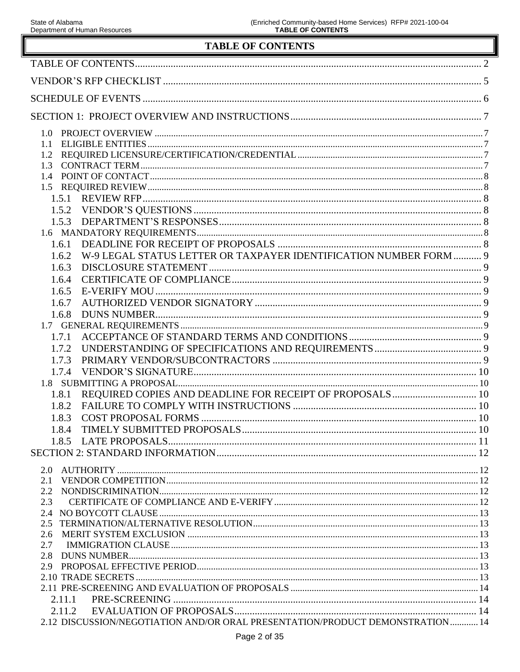╚

# **TABLE OF CONTENTS**

| <b>TABLE OF CONTENTS</b>                                                       |  |
|--------------------------------------------------------------------------------|--|
|                                                                                |  |
|                                                                                |  |
|                                                                                |  |
|                                                                                |  |
|                                                                                |  |
|                                                                                |  |
|                                                                                |  |
| 1.3                                                                            |  |
|                                                                                |  |
|                                                                                |  |
|                                                                                |  |
| 1.5.3                                                                          |  |
|                                                                                |  |
| 1.6.1                                                                          |  |
| W-9 LEGAL STATUS LETTER OR TAXPAYER IDENTIFICATION NUMBER FORM  9<br>1.6.2     |  |
| 1.6.3                                                                          |  |
| 1.6.4<br>1.6.5                                                                 |  |
| 1.6.7                                                                          |  |
| 1.6.8                                                                          |  |
|                                                                                |  |
| 1.7.1                                                                          |  |
| 1.7.2                                                                          |  |
| 1.7.3                                                                          |  |
| 1.7.4                                                                          |  |
|                                                                                |  |
| 1.8.1                                                                          |  |
| 1.8.2                                                                          |  |
| 1.8.3                                                                          |  |
| 1.8.4                                                                          |  |
|                                                                                |  |
|                                                                                |  |
|                                                                                |  |
| 2.1<br>2.2                                                                     |  |
| 2.3                                                                            |  |
|                                                                                |  |
| $2.5^{\circ}$                                                                  |  |
| 2.6                                                                            |  |
| 2.7                                                                            |  |
| 2.8                                                                            |  |
|                                                                                |  |
|                                                                                |  |
| 2.11.1                                                                         |  |
| 2.11.2                                                                         |  |
| 2.12 DISCUSSION/NEGOTIATION AND/OR ORAL PRESENTATION/PRODUCT DEMONSTRATION  14 |  |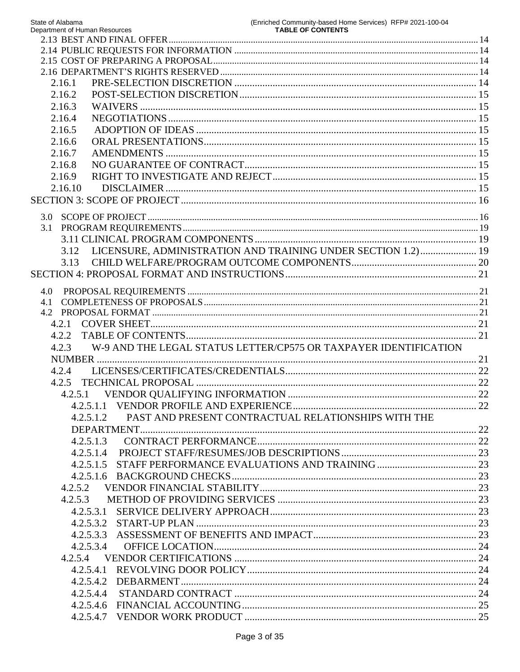| State of Alabama<br>Department of Human Resources | (Enriched Community-based Home Services) RFP# 2021-100-04<br><b>TABLE OF CONTENTS</b> |
|---------------------------------------------------|---------------------------------------------------------------------------------------|
|                                                   |                                                                                       |
|                                                   |                                                                                       |
|                                                   |                                                                                       |
|                                                   |                                                                                       |
| 2.16.1                                            |                                                                                       |
| 2.16.2                                            |                                                                                       |
| 2.16.3                                            |                                                                                       |
| 2.16.4                                            |                                                                                       |
| 2.16.5                                            |                                                                                       |
| 2.16.6                                            |                                                                                       |
| 2.16.7                                            |                                                                                       |
| 2.16.8                                            |                                                                                       |
| 2.16.9                                            |                                                                                       |
| 2.16.10                                           |                                                                                       |
|                                                   |                                                                                       |
|                                                   |                                                                                       |
|                                                   |                                                                                       |
|                                                   |                                                                                       |
| 3.12                                              | LICENSURE, ADMINISTRATION AND TRAINING UNDER SECTION 1.2) 19                          |
| 3.13                                              |                                                                                       |
|                                                   |                                                                                       |
|                                                   |                                                                                       |
| 4.0                                               |                                                                                       |
|                                                   |                                                                                       |
|                                                   |                                                                                       |
| 4.2.1                                             |                                                                                       |
| 4.2.2                                             |                                                                                       |
| 4.2.3                                             | W-9 AND THE LEGAL STATUS LETTER/CP575 OR TAXPAYER IDENTIFICATION                      |
|                                                   |                                                                                       |
| 4.2.4                                             |                                                                                       |
| 4.2.5                                             |                                                                                       |
| 4.2.5.1                                           |                                                                                       |
|                                                   |                                                                                       |
| 4.2.5.1.2                                         | PAST AND PRESENT CONTRACTUAL RELATIONSHIPS WITH THE                                   |
|                                                   |                                                                                       |
| 4.2.5.1.3                                         |                                                                                       |
| 4.2.5.1.4                                         |                                                                                       |
| 4.2.5.1.5                                         |                                                                                       |
|                                                   |                                                                                       |
| 4.2.5.2                                           |                                                                                       |
| 4.2.5.3                                           |                                                                                       |
| 4.2.5.3.1                                         |                                                                                       |
|                                                   |                                                                                       |
| 4.2.5.3.3                                         |                                                                                       |
| 4.2.5.3.4                                         |                                                                                       |
|                                                   |                                                                                       |
| 4.2.5.4.1                                         |                                                                                       |
| 4.2.5.4.2                                         |                                                                                       |
| 4.2.5.4.4                                         |                                                                                       |
|                                                   |                                                                                       |
|                                                   |                                                                                       |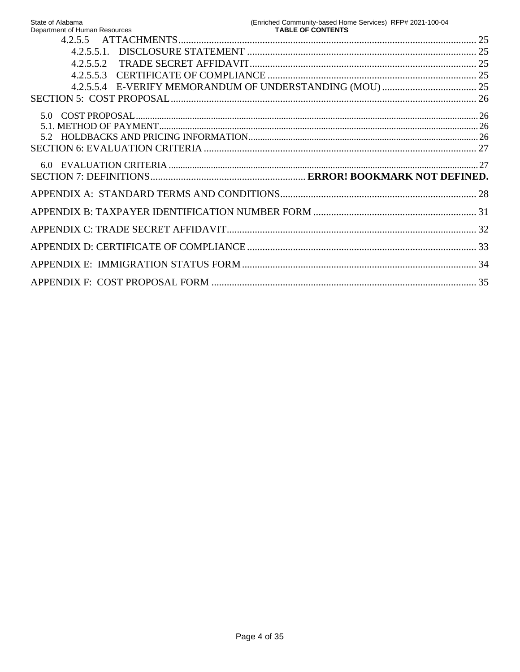| State of Alabama<br>Department of Human Resources | (Enriched Community-based Home Services) RFP# 2021-100-04 |  |
|---------------------------------------------------|-----------------------------------------------------------|--|
|                                                   |                                                           |  |
|                                                   |                                                           |  |
| 4.2.5.5.2                                         |                                                           |  |
| 4.2.5.5.3                                         |                                                           |  |
|                                                   |                                                           |  |
|                                                   |                                                           |  |
| 5 O                                               |                                                           |  |
|                                                   |                                                           |  |
|                                                   |                                                           |  |
|                                                   |                                                           |  |
|                                                   |                                                           |  |
|                                                   |                                                           |  |
|                                                   |                                                           |  |
|                                                   |                                                           |  |
|                                                   |                                                           |  |
|                                                   |                                                           |  |
|                                                   |                                                           |  |
|                                                   |                                                           |  |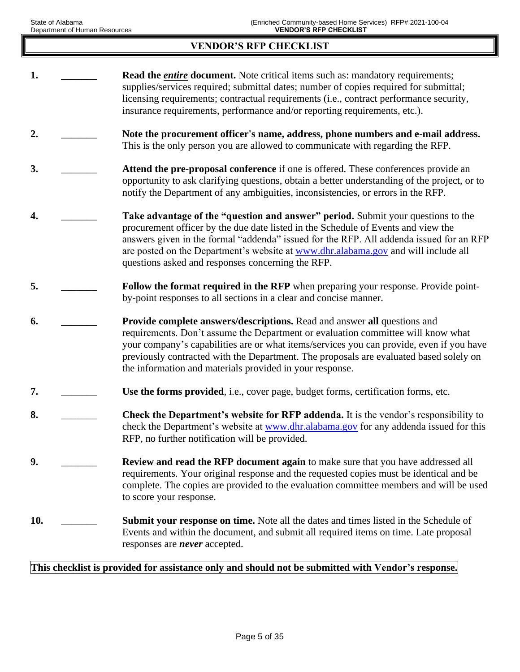## **VENDOR'S RFP CHECKLIST**

**1. 1. Read the** *entire* **document.** Note critical items such as: mandatory requirements; supplies/services required; submittal dates; number of copies required for submittal; licensing requirements; contractual requirements (i.e., contract performance security, insurance requirements, performance and/or reporting requirements, etc.). **2.** \_\_\_\_\_\_\_ **Note the procurement officer's name, address, phone numbers and e-mail address.** This is the only person you are allowed to communicate with regarding the RFP. **3. Attend the pre-proposal conference** if one is offered. These conferences provide an opportunity to ask clarifying questions, obtain a better understanding of the project, or to notify the Department of any ambiguities, inconsistencies, or errors in the RFP. **4.** \_\_\_\_\_\_\_ **Take advantage of the "question and answer" period.** Submit your questions to the procurement officer by the due date listed in the Schedule of Events and view the answers given in the formal "addenda" issued for the RFP. All addenda issued for an RFP are posted on the Department's website at [www.dhr.alabama.gov](http://www.dhr.state.al.us/) and will include all questions asked and responses concerning the RFP. **5. EXECUTE:** Follow the format required in the RFP when preparing your response. Provide pointby-point responses to all sections in a clear and concise manner. **6.** \_\_\_\_\_\_\_ **Provide complete answers/descriptions.** Read and answer **all** questions and requirements. Don't assume the Department or evaluation committee will know what your company's capabilities are or what items/services you can provide, even if you have previously contracted with the Department. The proposals are evaluated based solely on the information and materials provided in your response. **7. I. Example 1 Use the forms provided**, i.e., cover page, budget forms, certification forms, etc. **8. Check the Department's website for RFP addenda.** It is the vendor's responsibility to check the Department's website at [www.dhr.alabama.gov](http://www.dhr.state.al.us/) for any addenda issued for this RFP, no further notification will be provided. **9. Example 2. Review and read the RFP document again** to make sure that you have addressed all requirements. Your original response and the requested copies must be identical and be complete. The copies are provided to the evaluation committee members and will be used to score your response. **10.** \_\_\_\_\_\_\_ **Submit your response on time.** Note all the dates and times listed in the Schedule of Events and within the document, and submit all required items on time. Late proposal responses are *never* accepted.

### **This checklist is provided for assistance only and should not be submitted with Vendor's response.**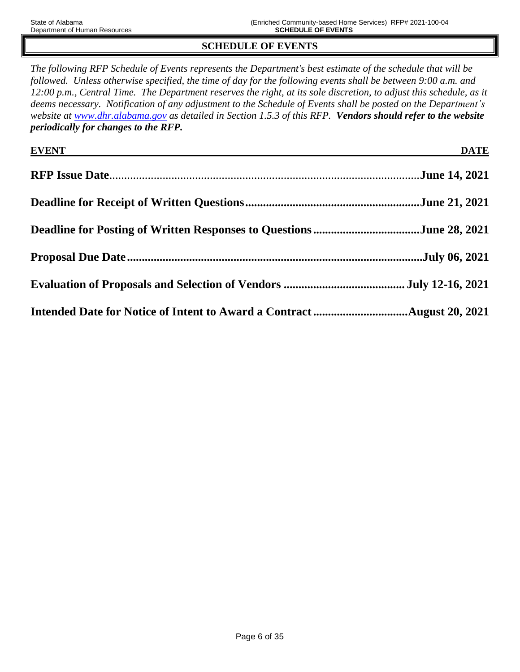# **SCHEDULE OF EVENTS**

*The following RFP Schedule of Events represents the Department's best estimate of the schedule that will be followed. Unless otherwise specified, the time of day for the following events shall be between 9:00 a.m. and 12:00 p.m., Central Time. The Department reserves the right, at its sole discretion, to adjust this schedule, as it deems necessary. Notification of any adjustment to the Schedule of Events shall be posted on the Department's website at [www.dhr.alabama.gov](http://www.dhr.state.al.us/) as detailed in Section 1.5.3 of this RFP. Vendors should refer to the website periodically for changes to the RFP.*

| EVENT THE CONSTRUCTION OF THE CONSTRUCTION OF THE CONSTRUCTION OF THE CONSTRUCTION OF THE CONSTRUCTION OF THE CONSTRUCTION OF THE CONSTRUCTION OF THE CONSTRUCTION OF THE CONSTRUCTION OF THE CONSTRUCTION OF THE CONSTRUCTION | <b>DATE</b> |
|--------------------------------------------------------------------------------------------------------------------------------------------------------------------------------------------------------------------------------|-------------|
|                                                                                                                                                                                                                                |             |
|                                                                                                                                                                                                                                |             |
|                                                                                                                                                                                                                                |             |
|                                                                                                                                                                                                                                |             |
|                                                                                                                                                                                                                                |             |
|                                                                                                                                                                                                                                |             |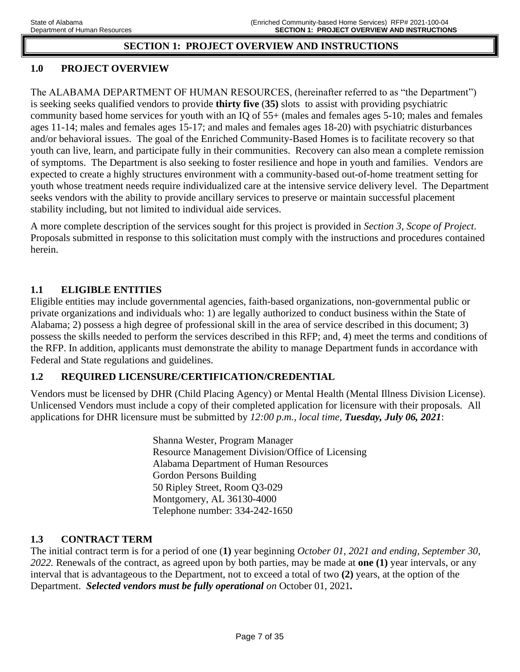## **SECTION 1: PROJECT OVERVIEW AND INSTRUCTIONS**

# **1.0 PROJECT OVERVIEW**

The ALABAMA DEPARTMENT OF HUMAN RESOURCES, (hereinafter referred to as "the Department") is seeking seeks qualified vendors to provide **thirty five** (**35)** slots to assist with providing psychiatric community based home services for youth with an IQ of 55+ (males and females ages 5-10; males and females ages 11-14; males and females ages 15-17; and males and females ages 18-20) with psychiatric disturbances and/or behavioral issues. The goal of the Enriched Community-Based Homes is to facilitate recovery so that youth can live, learn, and participate fully in their communities. Recovery can also mean a complete remission of symptoms. The Department is also seeking to foster resilience and hope in youth and families. Vendors are expected to create a highly structures environment with a community-based out-of-home treatment setting for youth whose treatment needs require individualized care at the intensive service delivery level. The Department seeks vendors with the ability to provide ancillary services to preserve or maintain successful placement stability including, but not limited to individual aide services.

A more complete description of the services sought for this project is provided in *Section 3, Scope of Project*. Proposals submitted in response to this solicitation must comply with the instructions and procedures contained herein.

### **1.1 ELIGIBLE ENTITIES**

Eligible entities may include governmental agencies, faith-based organizations, non-governmental public or private organizations and individuals who: 1) are legally authorized to conduct business within the State of Alabama; 2) possess a high degree of professional skill in the area of service described in this document; 3) possess the skills needed to perform the services described in this RFP; and, 4) meet the terms and conditions of the RFP. In addition, applicants must demonstrate the ability to manage Department funds in accordance with Federal and State regulations and guidelines.

## **1.2 REQUIRED LICENSURE/CERTIFICATION/CREDENTIAL**

Vendors must be licensed by DHR (Child Placing Agency) or Mental Health (Mental Illness Division License). Unlicensed Vendors must include a copy of their completed application for licensure with their proposals*.* All applications for DHR licensure must be submitted by *12:00 p.m., local time, Tuesday, July 06, 2021*:

> Shanna Wester, Program Manager Resource Management Division/Office of Licensing Alabama Department of Human Resources Gordon Persons Building 50 Ripley Street, Room Q3-029 Montgomery, AL 36130-4000 Telephone number: 334-242-1650

## **1.3 CONTRACT TERM**

The initial contract term is for a period of one (**1)** year beginning *October 01, 2021 and ending, September 30, 2022.* Renewals of the contract, as agreed upon by both parties, may be made at **one (1)** year intervals, or any interval that is advantageous to the Department, not to exceed a total of two **(2)** years, at the option of the Department. *Selected vendors must be fully operational on* October 01, 2021*.*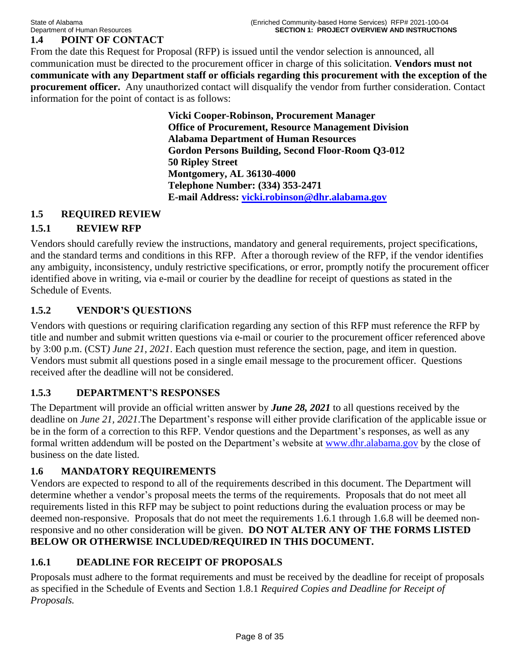# **1.4 POINT OF CONTACT**

From the date this Request for Proposal (RFP) is issued until the vendor selection is announced, all communication must be directed to the procurement officer in charge of this solicitation. **Vendors must not communicate with any Department staff or officials regarding this procurement with the exception of the procurement officer.** Any unauthorized contact will disqualify the vendor from further consideration. Contact information for the point of contact is as follows:

> **Vicki Cooper-Robinson, Procurement Manager Office of Procurement, Resource Management Division Alabama Department of Human Resources Gordon Persons Building, Second Floor-Room Q3-012 50 Ripley Street Montgomery, AL 36130-4000 Telephone Number: (334) 353-2471 E-mail Address: [vicki.robinson@dhr.alabama.gov](mailto:vicki.robinson@dhr.alabama.gov)**

### **1.5 REQUIRED REVIEW**

# **1.5.1 REVIEW RFP**

Vendors should carefully review the instructions, mandatory and general requirements, project specifications, and the standard terms and conditions in this RFP. After a thorough review of the RFP, if the vendor identifies any ambiguity, inconsistency, unduly restrictive specifications, or error, promptly notify the procurement officer identified above in writing, via e-mail or courier by the deadline for receipt of questions as stated in the Schedule of Events.

### **1.5.2 VENDOR'S QUESTIONS**

Vendors with questions or requiring clarification regarding any section of this RFP must reference the RFP by title and number and submit written questions via e-mail or courier to the procurement officer referenced above by 3:00 p.m. (CST*) June 21, 2021*. Each question must reference the section, page, and item in question. Vendors must submit all questions posed in a single email message to the procurement officer. Questions received after the deadline will not be considered.

## **1.5.3 DEPARTMENT'S RESPONSES**

The Department will provide an official written answer by *June 28, 2021* to all questions received by the deadline on *June 21, 2021*.The Department's response will either provide clarification of the applicable issue or be in the form of a correction to this RFP. Vendor questions and the Department's responses, as well as any formal written addendum will be posted on the Department's website at [www.dhr.alabama.gov](http://www.dhr.state.al.us/) by the close of business on the date listed.

## **1.6 MANDATORY REQUIREMENTS**

Vendors are expected to respond to all of the requirements described in this document. The Department will determine whether a vendor's proposal meets the terms of the requirements. Proposals that do not meet all requirements listed in this RFP may be subject to point reductions during the evaluation process or may be deemed non-responsive. Proposals that do not meet the requirements 1.6.1 through 1.6.8 will be deemed nonresponsive and no other consideration will be given. **DO NOT ALTER ANY OF THE FORMS LISTED BELOW OR OTHERWISE INCLUDED/REQUIRED IN THIS DOCUMENT.** 

## **1.6.1 DEADLINE FOR RECEIPT OF PROPOSALS**

Proposals must adhere to the format requirements and must be received by the deadline for receipt of proposals as specified in the Schedule of Events and Section 1.8.1 *Required Copies and Deadline for Receipt of Proposals.*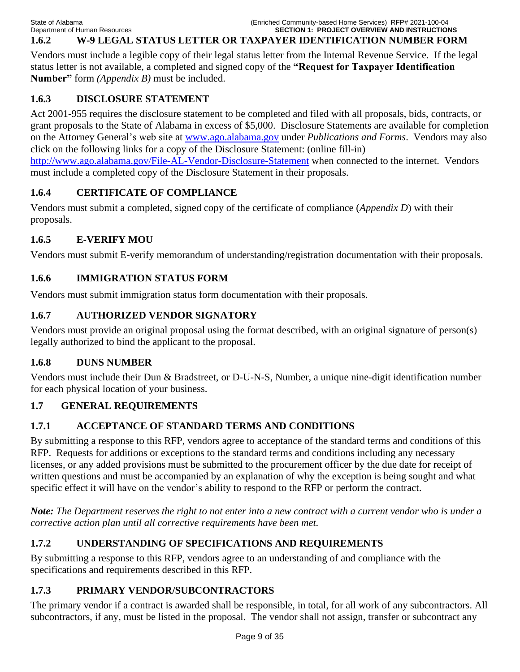# **1.6.2 W-9 LEGAL STATUS LETTER OR TAXPAYER IDENTIFICATION NUMBER FORM**

Vendors must include a legible copy of their legal status letter from the Internal Revenue Service. If the legal status letter is not available, a completed and signed copy of the **"Request for Taxpayer Identification Number"** form *(Appendix B)* must be included.

# **1.6.3 DISCLOSURE STATEMENT**

Act 2001-955 requires the disclosure statement to be completed and filed with all proposals, bids, contracts, or grant proposals to the State of Alabama in excess of \$5,000. Disclosure Statements are available for completion on the Attorney General's web site at [www.ago.alabama.gov](http://www.ago.alabama.gov/) under *Publications and Forms*. Vendors may also click on the following links for a copy of the Disclosure Statement: (online fill-in) <http://www.ago.alabama.gov/File-AL-Vendor-Disclosure-Statement> when connected to the internet. Vendors must include a completed copy of the Disclosure Statement in their proposals.

# **1.6.4 CERTIFICATE OF COMPLIANCE**

Vendors must submit a completed, signed copy of the certificate of compliance (*Appendix D*) with their proposals.

# **1.6.5 E-VERIFY MOU**

Vendors must submit E-verify memorandum of understanding/registration documentation with their proposals.

# **1.6.6 IMMIGRATION STATUS FORM**

Vendors must submit immigration status form documentation with their proposals.

# **1.6.7 AUTHORIZED VENDOR SIGNATORY**

Vendors must provide an original proposal using the format described, with an original signature of person(s) legally authorized to bind the applicant to the proposal.

# **1.6.8 DUNS NUMBER**

Vendors must include their Dun & Bradstreet, or D-U-N-S, Number, a unique nine-digit identification number for each physical location of your business.

# **1.7 GENERAL REQUIREMENTS**

# **1.7.1 ACCEPTANCE OF STANDARD TERMS AND CONDITIONS**

By submitting a response to this RFP, vendors agree to acceptance of the standard terms and conditions of this RFP. Requests for additions or exceptions to the standard terms and conditions including any necessary licenses, or any added provisions must be submitted to the procurement officer by the due date for receipt of written questions and must be accompanied by an explanation of why the exception is being sought and what specific effect it will have on the vendor's ability to respond to the RFP or perform the contract.

*Note: The Department reserves the right to not enter into a new contract with a current vendor who is under a corrective action plan until all corrective requirements have been met.* 

# **1.7.2 UNDERSTANDING OF SPECIFICATIONS AND REQUIREMENTS**

By submitting a response to this RFP, vendors agree to an understanding of and compliance with the specifications and requirements described in this RFP.

# **1.7.3 PRIMARY VENDOR/SUBCONTRACTORS**

The primary vendor if a contract is awarded shall be responsible, in total, for all work of any subcontractors. All subcontractors, if any, must be listed in the proposal. The vendor shall not assign, transfer or subcontract any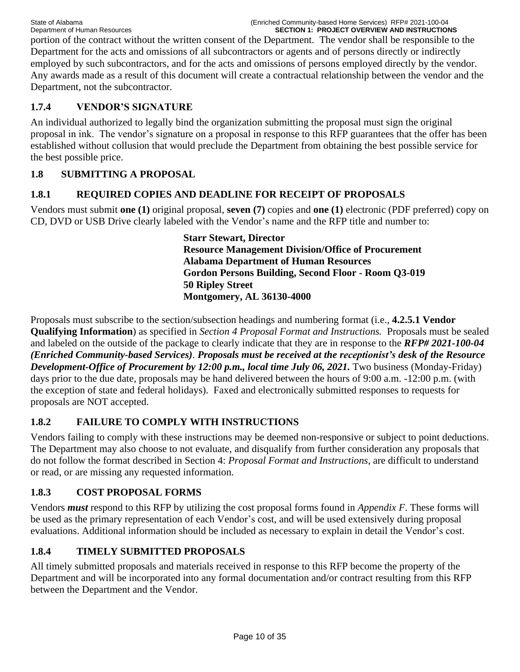portion of the contract without the written consent of the Department. The vendor shall be responsible to the Department for the acts and omissions of all subcontractors or agents and of persons directly or indirectly employed by such subcontractors, and for the acts and omissions of persons employed directly by the vendor. Any awards made as a result of this document will create a contractual relationship between the vendor and the Department, not the subcontractor.

# **1.7.4 VENDOR'S SIGNATURE**

An individual authorized to legally bind the organization submitting the proposal must sign the original proposal in ink. The vendor's signature on a proposal in response to this RFP guarantees that the offer has been established without collusion that would preclude the Department from obtaining the best possible service for the best possible price.

# **1.8 SUBMITTING A PROPOSAL**

# **1.8.1 REQUIRED COPIES AND DEADLINE FOR RECEIPT OF PROPOSALS**

Vendors must submit **one (1)** original proposal, **seven (7)** copies and **one (1)** electronic (PDF preferred) copy on CD, DVD or USB Drive clearly labeled with the Vendor's name and the RFP title and number to:

> **Starr Stewart, Director Resource Management Division/Office of Procurement Alabama Department of Human Resources Gordon Persons Building, Second Floor - Room Q3-019 50 Ripley Street Montgomery, AL 36130-4000**

Proposals must subscribe to the section/subsection headings and numbering format (i.e., **4.2.5.1 Vendor Qualifying Information**) as specified in *Section 4 Proposal Format and Instructions.* Proposals must be sealed and labeled on the outside of the package to clearly indicate that they are in response to the *RFP# 2021-100-04 (Enriched Community-based Services)*. *Proposals must be received at the receptionist's desk of the Resource Development-Office of Procurement by 12:00 p.m., local time July 06, 2021.* Two business (Monday-Friday) days prior to the due date, proposals may be hand delivered between the hours of 9:00 a.m. -12:00 p.m. (with the exception of state and federal holidays). Faxed and electronically submitted responses to requests for proposals are NOT accepted.

# **1.8.2 FAILURE TO COMPLY WITH INSTRUCTIONS**

Vendors failing to comply with these instructions may be deemed non-responsive or subject to point deductions. The Department may also choose to not evaluate, and disqualify from further consideration any proposals that do not follow the format described in Section 4: *Proposal Format and Instructions*, are difficult to understand or read, or are missing any requested information.

# **1.8.3 COST PROPOSAL FORMS**

Vendors *must* respond to this RFP by utilizing the cost proposal forms found in *Appendix F*. These forms will be used as the primary representation of each Vendor's cost, and will be used extensively during proposal evaluations. Additional information should be included as necessary to explain in detail the Vendor's cost.

# **1.8.4 TIMELY SUBMITTED PROPOSALS**

All timely submitted proposals and materials received in response to this RFP become the property of the Department and will be incorporated into any formal documentation and/or contract resulting from this RFP between the Department and the Vendor.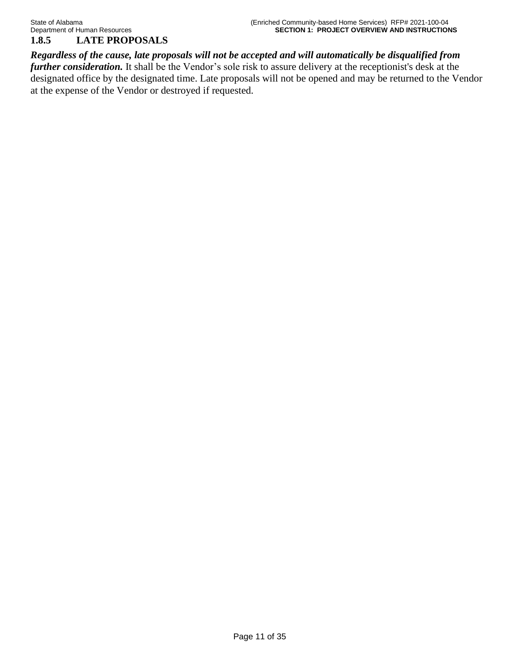*Regardless of the cause, late proposals will not be accepted and will automatically be disqualified from further consideration*. It shall be the Vendor's sole risk to assure delivery at the receptionist's desk at the designated office by the designated time. Late proposals will not be opened and may be returned to the Vendor at the expense of the Vendor or destroyed if requested.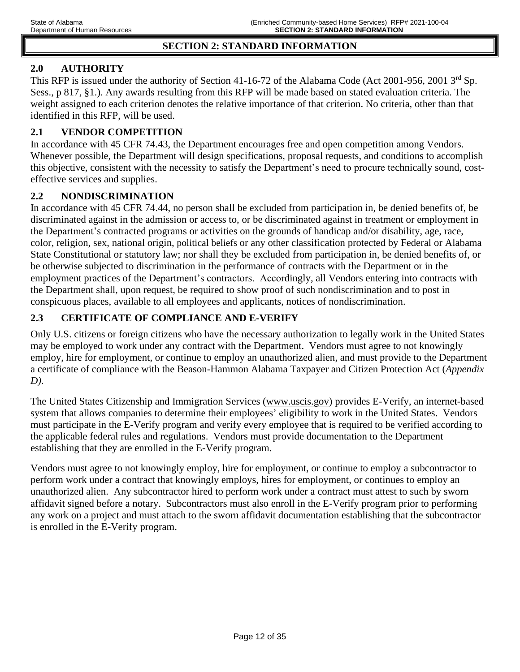### **SECTION 2: STANDARD INFORMATION**

## **2.0 AUTHORITY**

This RFP is issued under the authority of Section 41-16-72 of the Alabama Code (Act 2001-956, 2001 3<sup>rd</sup> Sp. Sess., p 817, §1.). Any awards resulting from this RFP will be made based on stated evaluation criteria. The weight assigned to each criterion denotes the relative importance of that criterion. No criteria, other than that identified in this RFP, will be used.

## **2.1 VENDOR COMPETITION**

In accordance with 45 CFR 74.43, the Department encourages free and open competition among Vendors. Whenever possible, the Department will design specifications, proposal requests, and conditions to accomplish this objective, consistent with the necessity to satisfy the Department's need to procure technically sound, costeffective services and supplies.

## **2.2 NONDISCRIMINATION**

In accordance with 45 CFR 74.44, no person shall be excluded from participation in, be denied benefits of, be discriminated against in the admission or access to, or be discriminated against in treatment or employment in the Department's contracted programs or activities on the grounds of handicap and/or disability, age, race, color, religion, sex, national origin, political beliefs or any other classification protected by Federal or Alabama State Constitutional or statutory law; nor shall they be excluded from participation in, be denied benefits of, or be otherwise subjected to discrimination in the performance of contracts with the Department or in the employment practices of the Department's contractors. Accordingly, all Vendors entering into contracts with the Department shall, upon request, be required to show proof of such nondiscrimination and to post in conspicuous places, available to all employees and applicants, notices of nondiscrimination.

# **2.3 CERTIFICATE OF COMPLIANCE AND E-VERIFY**

Only U.S. citizens or foreign citizens who have the necessary authorization to legally work in the United States may be employed to work under any contract with the Department. Vendors must agree to not knowingly employ, hire for employment, or continue to employ an unauthorized alien, and must provide to the Department a certificate of compliance with the Beason-Hammon Alabama Taxpayer and Citizen Protection Act (*Appendix D)*.

The United States Citizenship and Immigration Services [\(www.uscis.gov\)](http://www.uscis.gov/) provides E-Verify, an internet-based system that allows companies to determine their employees' eligibility to work in the United States. Vendors must participate in the E-Verify program and verify every employee that is required to be verified according to the applicable federal rules and regulations. Vendors must provide documentation to the Department establishing that they are enrolled in the E-Verify program.

Vendors must agree to not knowingly employ, hire for employment, or continue to employ a subcontractor to perform work under a contract that knowingly employs, hires for employment, or continues to employ an unauthorized alien. Any subcontractor hired to perform work under a contract must attest to such by sworn affidavit signed before a notary. Subcontractors must also enroll in the E-Verify program prior to performing any work on a project and must attach to the sworn affidavit documentation establishing that the subcontractor is enrolled in the E-Verify program.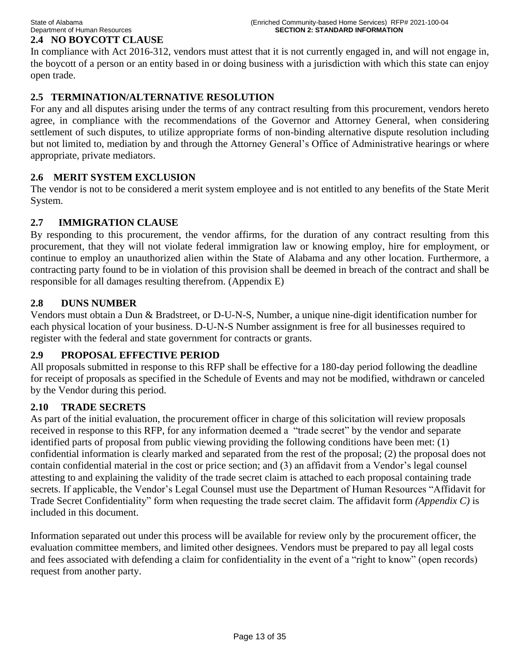# **2.4 NO BOYCOTT CLAUSE**

In compliance with Act 2016-312, vendors must attest that it is not currently engaged in, and will not engage in, the boycott of a person or an entity based in or doing business with a jurisdiction with which this state can enjoy open trade.

# **2.5 TERMINATION/ALTERNATIVE RESOLUTION**

For any and all disputes arising under the terms of any contract resulting from this procurement, vendors hereto agree, in compliance with the recommendations of the Governor and Attorney General, when considering settlement of such disputes, to utilize appropriate forms of non-binding alternative dispute resolution including but not limited to, mediation by and through the Attorney General's Office of Administrative hearings or where appropriate, private mediators.

## **2.6 MERIT SYSTEM EXCLUSION**

The vendor is not to be considered a merit system employee and is not entitled to any benefits of the State Merit System.

## **2.7 IMMIGRATION CLAUSE**

By responding to this procurement, the vendor affirms, for the duration of any contract resulting from this procurement, that they will not violate federal immigration law or knowing employ, hire for employment, or continue to employ an unauthorized alien within the State of Alabama and any other location. Furthermore, a contracting party found to be in violation of this provision shall be deemed in breach of the contract and shall be responsible for all damages resulting therefrom. (Appendix E)

## **2.8 DUNS NUMBER**

Vendors must obtain a Dun & Bradstreet, or D-U-N-S, Number, a unique nine-digit identification number for each physical location of your business. D-U-N-S Number assignment is free for all businesses required to register with the federal and state government for contracts or grants.

## **2.9 PROPOSAL EFFECTIVE PERIOD**

All proposals submitted in response to this RFP shall be effective for a 180-day period following the deadline for receipt of proposals as specified in the Schedule of Events and may not be modified, withdrawn or canceled by the Vendor during this period.

## **2.10 TRADE SECRETS**

As part of the initial evaluation, the procurement officer in charge of this solicitation will review proposals received in response to this RFP, for any information deemed a "trade secret" by the vendor and separate identified parts of proposal from public viewing providing the following conditions have been met: (1) confidential information is clearly marked and separated from the rest of the proposal; (2) the proposal does not contain confidential material in the cost or price section; and (3) an affidavit from a Vendor's legal counsel attesting to and explaining the validity of the trade secret claim is attached to each proposal containing trade secrets. If applicable, the Vendor's Legal Counsel must use the Department of Human Resources "Affidavit for Trade Secret Confidentiality" form when requesting the trade secret claim. The affidavit form *(Appendix C)* is included in this document.

Information separated out under this process will be available for review only by the procurement officer, the evaluation committee members, and limited other designees. Vendors must be prepared to pay all legal costs and fees associated with defending a claim for confidentiality in the event of a "right to know" (open records) request from another party.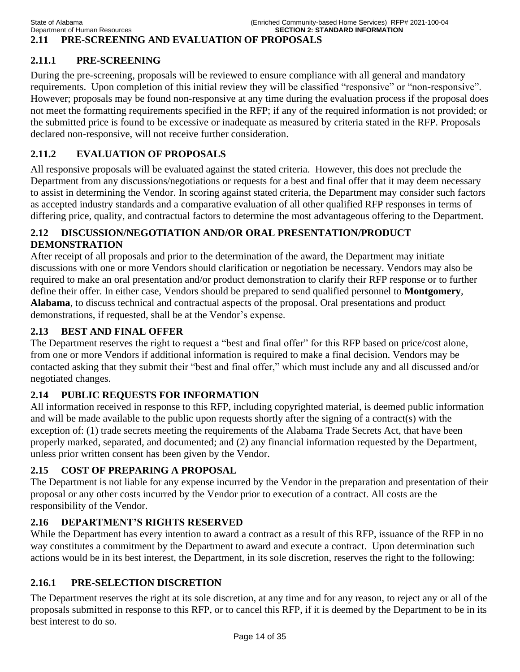# **2.11 PRE-SCREENING AND EVALUATION OF PROPOSALS**

# **2.11.1 PRE-SCREENING**

During the pre-screening, proposals will be reviewed to ensure compliance with all general and mandatory requirements. Upon completion of this initial review they will be classified "responsive" or "non-responsive". However; proposals may be found non-responsive at any time during the evaluation process if the proposal does not meet the formatting requirements specified in the RFP; if any of the required information is not provided; or the submitted price is found to be excessive or inadequate as measured by criteria stated in the RFP. Proposals declared non-responsive, will not receive further consideration.

# **2.11.2 EVALUATION OF PROPOSALS**

All responsive proposals will be evaluated against the stated criteria. However, this does not preclude the Department from any discussions/negotiations or requests for a best and final offer that it may deem necessary to assist in determining the Vendor. In scoring against stated criteria, the Department may consider such factors as accepted industry standards and a comparative evaluation of all other qualified RFP responses in terms of differing price, quality, and contractual factors to determine the most advantageous offering to the Department.

# **2.12 DISCUSSION/NEGOTIATION AND/OR ORAL PRESENTATION/PRODUCT DEMONSTRATION**

After receipt of all proposals and prior to the determination of the award, the Department may initiate discussions with one or more Vendors should clarification or negotiation be necessary. Vendors may also be required to make an oral presentation and/or product demonstration to clarify their RFP response or to further define their offer. In either case, Vendors should be prepared to send qualified personnel to **Montgomery**, **Alabama**, to discuss technical and contractual aspects of the proposal. Oral presentations and product demonstrations, if requested, shall be at the Vendor's expense.

# **2.13 BEST AND FINAL OFFER**

The Department reserves the right to request a "best and final offer" for this RFP based on price/cost alone, from one or more Vendors if additional information is required to make a final decision. Vendors may be contacted asking that they submit their "best and final offer," which must include any and all discussed and/or negotiated changes.

# **2.14 PUBLIC REQUESTS FOR INFORMATION**

All information received in response to this RFP, including copyrighted material, is deemed public information and will be made available to the public upon requests shortly after the signing of a contract(s) with the exception of: (1) trade secrets meeting the requirements of the Alabama Trade Secrets Act, that have been properly marked, separated, and documented; and (2) any financial information requested by the Department, unless prior written consent has been given by the Vendor.

# **2.15 COST OF PREPARING A PROPOSAL**

The Department is not liable for any expense incurred by the Vendor in the preparation and presentation of their proposal or any other costs incurred by the Vendor prior to execution of a contract. All costs are the responsibility of the Vendor.

# **2.16 DEPARTMENT'S RIGHTS RESERVED**

While the Department has every intention to award a contract as a result of this RFP, issuance of the RFP in no way constitutes a commitment by the Department to award and execute a contract. Upon determination such actions would be in its best interest, the Department, in its sole discretion, reserves the right to the following:

# **2.16.1 PRE-SELECTION DISCRETION**

The Department reserves the right at its sole discretion, at any time and for any reason, to reject any or all of the proposals submitted in response to this RFP, or to cancel this RFP, if it is deemed by the Department to be in its best interest to do so.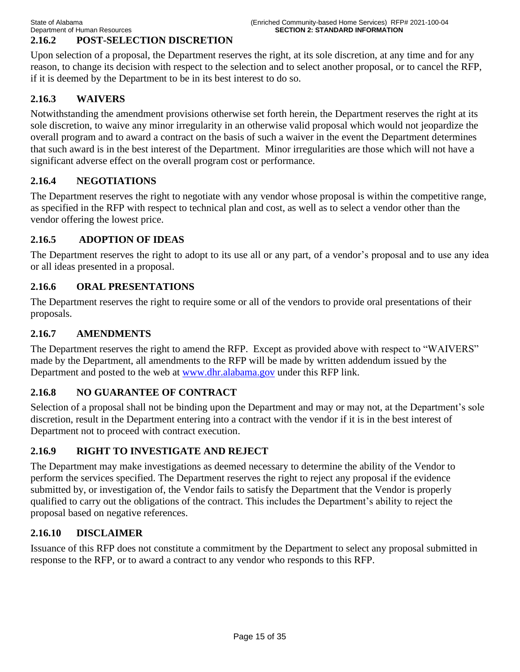# **2.16.2 POST-SELECTION DISCRETION**

Upon selection of a proposal, the Department reserves the right, at its sole discretion, at any time and for any reason, to change its decision with respect to the selection and to select another proposal, or to cancel the RFP, if it is deemed by the Department to be in its best interest to do so.

# **2.16.3 WAIVERS**

Notwithstanding the amendment provisions otherwise set forth herein, the Department reserves the right at its sole discretion, to waive any minor irregularity in an otherwise valid proposal which would not jeopardize the overall program and to award a contract on the basis of such a waiver in the event the Department determines that such award is in the best interest of the Department. Minor irregularities are those which will not have a significant adverse effect on the overall program cost or performance.

## **2.16.4 NEGOTIATIONS**

The Department reserves the right to negotiate with any vendor whose proposal is within the competitive range, as specified in the RFP with respect to technical plan and cost, as well as to select a vendor other than the vendor offering the lowest price.

## **2.16.5 ADOPTION OF IDEAS**

The Department reserves the right to adopt to its use all or any part, of a vendor's proposal and to use any idea or all ideas presented in a proposal.

# **2.16.6 ORAL PRESENTATIONS**

The Department reserves the right to require some or all of the vendors to provide oral presentations of their proposals.

# **2.16.7 AMENDMENTS**

The Department reserves the right to amend the RFP. Except as provided above with respect to "WAIVERS" made by the Department, all amendments to the RFP will be made by written addendum issued by the Department and posted to the web at [www.dhr.alabama.gov](http://www.dhr.state.al.us/) under this RFP link.

## **2.16.8 NO GUARANTEE OF CONTRACT**

Selection of a proposal shall not be binding upon the Department and may or may not, at the Department's sole discretion, result in the Department entering into a contract with the vendor if it is in the best interest of Department not to proceed with contract execution.

## **2.16.9 RIGHT TO INVESTIGATE AND REJECT**

The Department may make investigations as deemed necessary to determine the ability of the Vendor to perform the services specified. The Department reserves the right to reject any proposal if the evidence submitted by, or investigation of, the Vendor fails to satisfy the Department that the Vendor is properly qualified to carry out the obligations of the contract. This includes the Department's ability to reject the proposal based on negative references.

## **2.16.10 DISCLAIMER**

Issuance of this RFP does not constitute a commitment by the Department to select any proposal submitted in response to the RFP, or to award a contract to any vendor who responds to this RFP.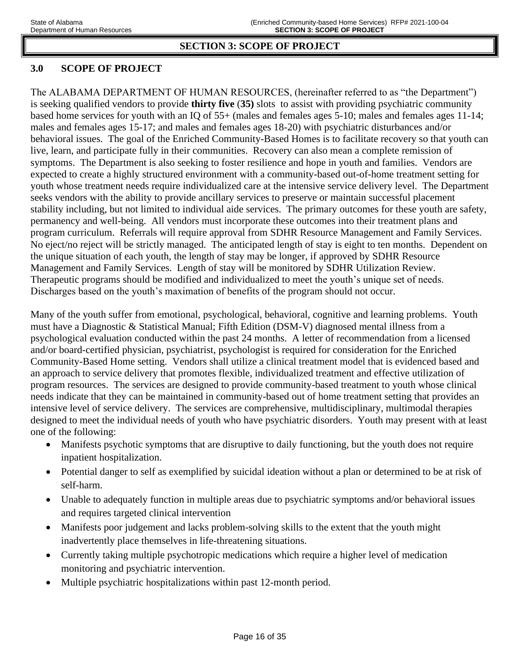# **SECTION 3: SCOPE OF PROJECT**

# **3.0 SCOPE OF PROJECT**

The ALABAMA DEPARTMENT OF HUMAN RESOURCES, (hereinafter referred to as "the Department") is seeking qualified vendors to provide **thirty five** (**35)** slots to assist with providing psychiatric community based home services for youth with an IQ of 55+ (males and females ages 5-10; males and females ages 11-14; males and females ages 15-17; and males and females ages 18-20) with psychiatric disturbances and/or behavioral issues. The goal of the Enriched Community-Based Homes is to facilitate recovery so that youth can live, learn, and participate fully in their communities. Recovery can also mean a complete remission of symptoms. The Department is also seeking to foster resilience and hope in youth and families. Vendors are expected to create a highly structured environment with a community-based out-of-home treatment setting for youth whose treatment needs require individualized care at the intensive service delivery level. The Department seeks vendors with the ability to provide ancillary services to preserve or maintain successful placement stability including, but not limited to individual aide services. The primary outcomes for these youth are safety, permanency and well-being. All vendors must incorporate these outcomes into their treatment plans and program curriculum. Referrals will require approval from SDHR Resource Management and Family Services. No eject/no reject will be strictly managed. The anticipated length of stay is eight to ten months. Dependent on the unique situation of each youth, the length of stay may be longer, if approved by SDHR Resource Management and Family Services. Length of stay will be monitored by SDHR Utilization Review. Therapeutic programs should be modified and individualized to meet the youth's unique set of needs. Discharges based on the youth's maximation of benefits of the program should not occur.

Many of the youth suffer from emotional, psychological, behavioral, cognitive and learning problems. Youth must have a Diagnostic & Statistical Manual; Fifth Edition (DSM-V) diagnosed mental illness from a psychological evaluation conducted within the past 24 months. A letter of recommendation from a licensed and/or board-certified physician, psychiatrist, psychologist is required for consideration for the Enriched Community-Based Home setting. Vendors shall utilize a clinical treatment model that is evidenced based and an approach to service delivery that promotes flexible, individualized treatment and effective utilization of program resources. The services are designed to provide community-based treatment to youth whose clinical needs indicate that they can be maintained in community-based out of home treatment setting that provides an intensive level of service delivery. The services are comprehensive, multidisciplinary, multimodal therapies designed to meet the individual needs of youth who have psychiatric disorders. Youth may present with at least one of the following:

- Manifests psychotic symptoms that are disruptive to daily functioning, but the youth does not require inpatient hospitalization.
- Potential danger to self as exemplified by suicidal ideation without a plan or determined to be at risk of self-harm.
- Unable to adequately function in multiple areas due to psychiatric symptoms and/or behavioral issues and requires targeted clinical intervention
- Manifests poor judgement and lacks problem-solving skills to the extent that the youth might inadvertently place themselves in life-threatening situations.
- Currently taking multiple psychotropic medications which require a higher level of medication monitoring and psychiatric intervention.
- Multiple psychiatric hospitalizations within past 12-month period.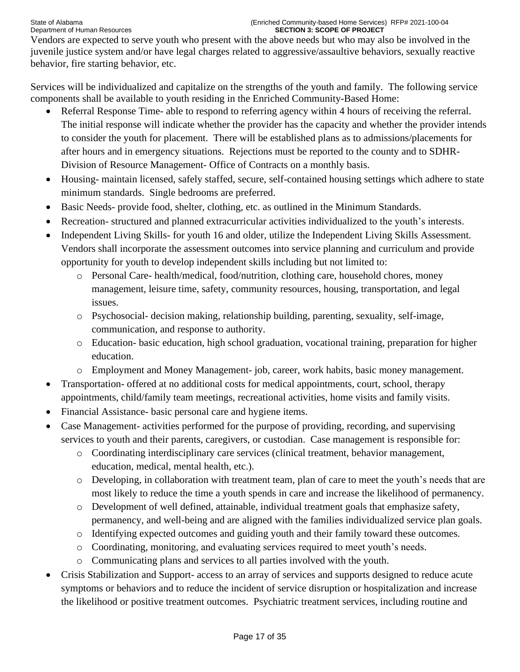Vendors are expected to serve youth who present with the above needs but who may also be involved in the juvenile justice system and/or have legal charges related to aggressive/assaultive behaviors, sexually reactive behavior, fire starting behavior, etc.

Services will be individualized and capitalize on the strengths of the youth and family. The following service components shall be available to youth residing in the Enriched Community-Based Home:

- Referral Response Time- able to respond to referring agency within 4 hours of receiving the referral. The initial response will indicate whether the provider has the capacity and whether the provider intends to consider the youth for placement. There will be established plans as to admissions/placements for after hours and in emergency situations. Rejections must be reported to the county and to SDHR-Division of Resource Management- Office of Contracts on a monthly basis.
- Housing- maintain licensed, safely staffed, secure, self-contained housing settings which adhere to state minimum standards. Single bedrooms are preferred.
- Basic Needs- provide food, shelter, clothing, etc. as outlined in the Minimum Standards.
- Recreation- structured and planned extracurricular activities individualized to the youth's interests.
- Independent Living Skills- for youth 16 and older, utilize the Independent Living Skills Assessment. Vendors shall incorporate the assessment outcomes into service planning and curriculum and provide opportunity for youth to develop independent skills including but not limited to:
	- o Personal Care- health/medical, food/nutrition, clothing care, household chores, money management, leisure time, safety, community resources, housing, transportation, and legal issues.
	- o Psychosocial- decision making, relationship building, parenting, sexuality, self-image, communication, and response to authority.
	- o Education- basic education, high school graduation, vocational training, preparation for higher education.
	- o Employment and Money Management- job, career, work habits, basic money management.
- Transportation- offered at no additional costs for medical appointments, court, school, therapy appointments, child/family team meetings, recreational activities, home visits and family visits.
- Financial Assistance- basic personal care and hygiene items.
- Case Management- activities performed for the purpose of providing, recording, and supervising services to youth and their parents, caregivers, or custodian. Case management is responsible for:
	- o Coordinating interdisciplinary care services (clinical treatment, behavior management, education, medical, mental health, etc.).
	- o Developing, in collaboration with treatment team, plan of care to meet the youth's needs that are most likely to reduce the time a youth spends in care and increase the likelihood of permanency.
	- o Development of well defined, attainable, individual treatment goals that emphasize safety, permanency, and well-being and are aligned with the families individualized service plan goals.
	- o Identifying expected outcomes and guiding youth and their family toward these outcomes.
	- o Coordinating, monitoring, and evaluating services required to meet youth's needs.
	- o Communicating plans and services to all parties involved with the youth.
- Crisis Stabilization and Support- access to an array of services and supports designed to reduce acute symptoms or behaviors and to reduce the incident of service disruption or hospitalization and increase the likelihood or positive treatment outcomes. Psychiatric treatment services, including routine and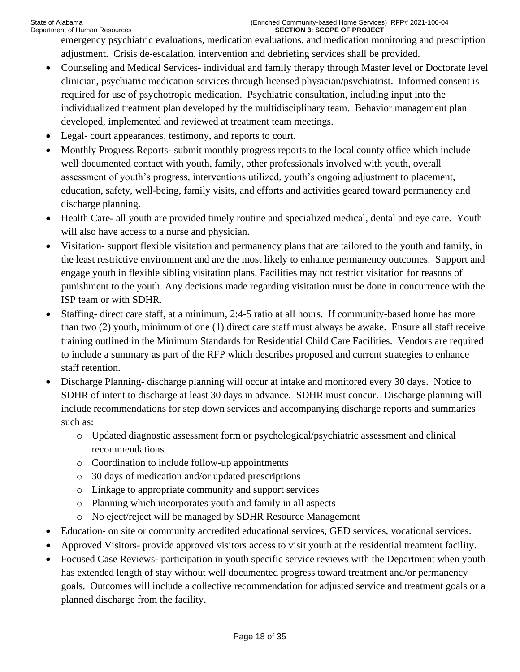emergency psychiatric evaluations, medication evaluations, and medication monitoring and prescription adjustment. Crisis de-escalation, intervention and debriefing services shall be provided.

- Counseling and Medical Services- individual and family therapy through Master level or Doctorate level clinician, psychiatric medication services through licensed physician/psychiatrist. Informed consent is required for use of psychotropic medication. Psychiatric consultation, including input into the individualized treatment plan developed by the multidisciplinary team. Behavior management plan developed, implemented and reviewed at treatment team meetings.
- Legal- court appearances, testimony, and reports to court.
- Monthly Progress Reports- submit monthly progress reports to the local county office which include well documented contact with youth, family, other professionals involved with youth, overall assessment of youth's progress, interventions utilized, youth's ongoing adjustment to placement, education, safety, well-being, family visits, and efforts and activities geared toward permanency and discharge planning.
- Health Care- all youth are provided timely routine and specialized medical, dental and eye care. Youth will also have access to a nurse and physician.
- Visitation- support flexible visitation and permanency plans that are tailored to the youth and family, in the least restrictive environment and are the most likely to enhance permanency outcomes. Support and engage youth in flexible sibling visitation plans. Facilities may not restrict visitation for reasons of punishment to the youth. Any decisions made regarding visitation must be done in concurrence with the ISP team or with SDHR.
- Staffing- direct care staff, at a minimum, 2:4-5 ratio at all hours. If community-based home has more than two (2) youth, minimum of one (1) direct care staff must always be awake. Ensure all staff receive training outlined in the Minimum Standards for Residential Child Care Facilities. Vendors are required to include a summary as part of the RFP which describes proposed and current strategies to enhance staff retention.
- Discharge Planning- discharge planning will occur at intake and monitored every 30 days. Notice to SDHR of intent to discharge at least 30 days in advance. SDHR must concur. Discharge planning will include recommendations for step down services and accompanying discharge reports and summaries such as:
	- o Updated diagnostic assessment form or psychological/psychiatric assessment and clinical recommendations
	- o Coordination to include follow-up appointments
	- o 30 days of medication and/or updated prescriptions
	- o Linkage to appropriate community and support services
	- o Planning which incorporates youth and family in all aspects
	- o No eject/reject will be managed by SDHR Resource Management
- Education- on site or community accredited educational services, GED services, vocational services.
- Approved Visitors- provide approved visitors access to visit youth at the residential treatment facility.
- Focused Case Reviews- participation in youth specific service reviews with the Department when youth has extended length of stay without well documented progress toward treatment and/or permanency goals. Outcomes will include a collective recommendation for adjusted service and treatment goals or a planned discharge from the facility.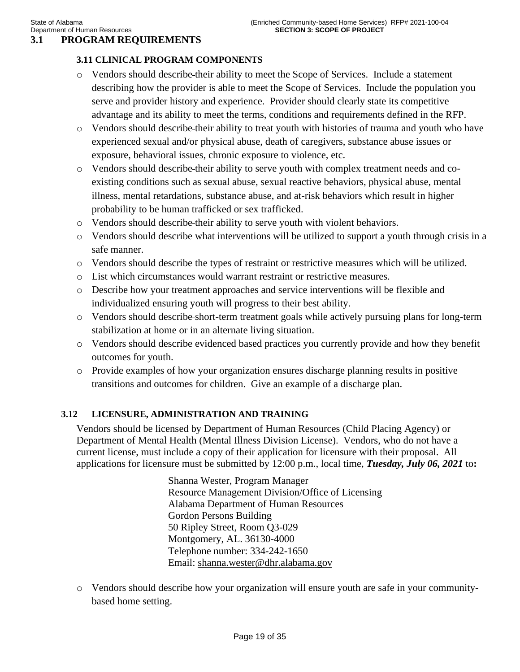# **3.1 PROGRAM REQUIREMENTS**

## **3.11 CLINICAL PROGRAM COMPONENTS**

- o Vendors should describe their ability to meet the Scope of Services. Include a statement describing how the provider is able to meet the Scope of Services. Include the population you serve and provider history and experience. Provider should clearly state its competitive advantage and its ability to meet the terms, conditions and requirements defined in the RFP.
- o Vendors should describe their ability to treat youth with histories of trauma and youth who have experienced sexual and/or physical abuse, death of caregivers, substance abuse issues or exposure, behavioral issues, chronic exposure to violence, etc.
- o Vendors should describe their ability to serve youth with complex treatment needs and coexisting conditions such as sexual abuse, sexual reactive behaviors, physical abuse, mental illness, mental retardations, substance abuse, and at-risk behaviors which result in higher probability to be human trafficked or sex trafficked.
- o Vendors should describe their ability to serve youth with violent behaviors.
- o Vendors should describe what interventions will be utilized to support a youth through crisis in a safe manner.
- o Vendors should describe the types of restraint or restrictive measures which will be utilized.
- o List which circumstances would warrant restraint or restrictive measures.
- o Describe how your treatment approaches and service interventions will be flexible and individualized ensuring youth will progress to their best ability.
- o Vendors should describe short-term treatment goals while actively pursuing plans for long-term stabilization at home or in an alternate living situation.
- o Vendors should describe evidenced based practices you currently provide and how they benefit outcomes for youth.
- o Provide examples of how your organization ensures discharge planning results in positive transitions and outcomes for children. Give an example of a discharge plan.

### **3.12 LICENSURE, ADMINISTRATION AND TRAINING**

Vendors should be licensed by Department of Human Resources (Child Placing Agency) or Department of Mental Health (Mental Illness Division License). Vendors, who do not have a current license, must include a copy of their application for licensure with their proposal. All applications for licensure must be submitted by 12:00 p.m., local time, *Tuesday, July 06, 2021* to**:**

> Shanna Wester, Program Manager Resource Management Division/Office of Licensing Alabama Department of Human Resources Gordon Persons Building 50 Ripley Street, Room Q3-029 Montgomery, AL. 36130-4000 Telephone number: 334-242-1650 Email: [shanna.wester@dhr.alabama.gov](mailto:shanna.wester@dhr.alabama.gov)

o Vendors should describe how your organization will ensure youth are safe in your communitybased home setting.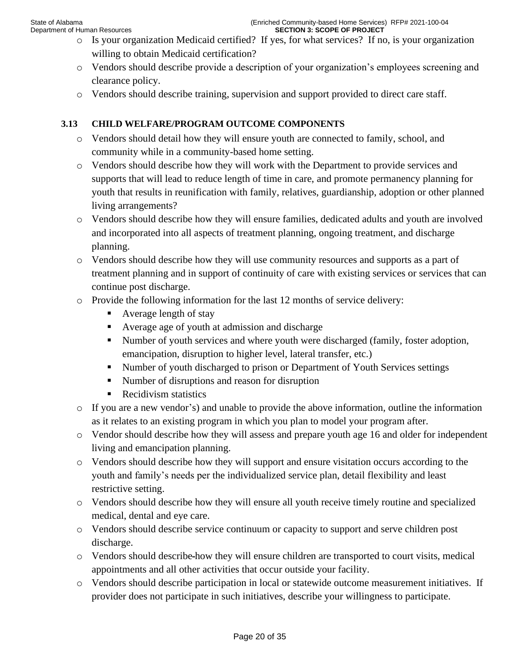- o Is your organization Medicaid certified? If yes, for what services? If no, is your organization willing to obtain Medicaid certification?
- o Vendors should describe provide a description of your organization's employees screening and clearance policy.
- o Vendors should describe training, supervision and support provided to direct care staff.

# **3.13 CHILD WELFARE/PROGRAM OUTCOME COMPONENTS**

- o Vendors should detail how they will ensure youth are connected to family, school, and community while in a community-based home setting.
- o Vendors should describe how they will work with the Department to provide services and supports that will lead to reduce length of time in care, and promote permanency planning for youth that results in reunification with family, relatives, guardianship, adoption or other planned living arrangements?
- o Vendors should describe how they will ensure families, dedicated adults and youth are involved and incorporated into all aspects of treatment planning, ongoing treatment, and discharge planning.
- o Vendors should describe how they will use community resources and supports as a part of treatment planning and in support of continuity of care with existing services or services that can continue post discharge.
- $\circ$  Provide the following information for the last 12 months of service delivery:
	- $\blacksquare$  Average length of stay
	- Average age of youth at admission and discharge
	- Number of youth services and where youth were discharged (family, foster adoption, emancipation, disruption to higher level, lateral transfer, etc.)
	- Number of youth discharged to prison or Department of Youth Services settings
	- Number of disruptions and reason for disruption
	- Recidivism statistics
- o If you are a new vendor's) and unable to provide the above information, outline the information as it relates to an existing program in which you plan to model your program after.
- o Vendor should describe how they will assess and prepare youth age 16 and older for independent living and emancipation planning.
- o Vendors should describe how they will support and ensure visitation occurs according to the youth and family's needs per the individualized service plan, detail flexibility and least restrictive setting.
- o Vendors should describe how they will ensure all youth receive timely routine and specialized medical, dental and eye care.
- o Vendors should describe service continuum or capacity to support and serve children post discharge.
- o Vendors should describe how they will ensure children are transported to court visits, medical appointments and all other activities that occur outside your facility.
- o Vendors should describe participation in local or statewide outcome measurement initiatives. If provider does not participate in such initiatives, describe your willingness to participate.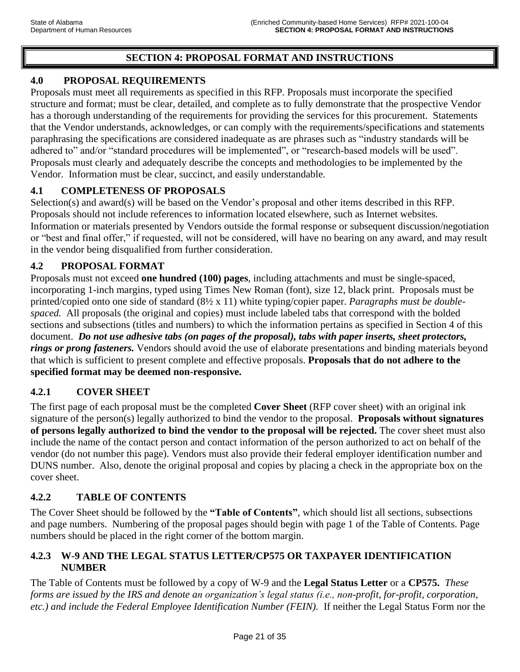# **SECTION 4: PROPOSAL FORMAT AND INSTRUCTIONS**

## **4.0 PROPOSAL REQUIREMENTS**

Proposals must meet all requirements as specified in this RFP. Proposals must incorporate the specified structure and format; must be clear, detailed, and complete as to fully demonstrate that the prospective Vendor has a thorough understanding of the requirements for providing the services for this procurement. Statements that the Vendor understands, acknowledges, or can comply with the requirements/specifications and statements paraphrasing the specifications are considered inadequate as are phrases such as "industry standards will be adhered to" and/or "standard procedures will be implemented", or "research-based models will be used". Proposals must clearly and adequately describe the concepts and methodologies to be implemented by the Vendor. Information must be clear, succinct, and easily understandable.

## **4.1 COMPLETENESS OF PROPOSALS**

Selection(s) and award(s) will be based on the Vendor's proposal and other items described in this RFP. Proposals should not include references to information located elsewhere, such as Internet websites. Information or materials presented by Vendors outside the formal response or subsequent discussion/negotiation or "best and final offer," if requested, will not be considered, will have no bearing on any award, and may result in the vendor being disqualified from further consideration.

## **4.2 PROPOSAL FORMAT**

Proposals must not exceed **one hundred (100) pages**, including attachments and must be single-spaced, incorporating 1-inch margins, typed using Times New Roman (font), size 12, black print. Proposals must be printed/copied onto one side of standard (8½ x 11) white typing/copier paper. *Paragraphs must be doublespaced.* All proposals (the original and copies) must include labeled tabs that correspond with the bolded sections and subsections (titles and numbers) to which the information pertains as specified in Section 4 of this document. *Do not use adhesive tabs (on pages of the proposal), tabs with paper inserts, sheet protectors, rings or prong fasteners.* Vendors should avoid the use of elaborate presentations and binding materials beyond that which is sufficient to present complete and effective proposals. **Proposals that do not adhere to the specified format may be deemed non-responsive.** 

## **4.2.1 COVER SHEET**

The first page of each proposal must be the completed **Cover Sheet** (RFP cover sheet) with an original ink signature of the person(s) legally authorized to bind the vendor to the proposal. **Proposals without signatures of persons legally authorized to bind the vendor to the proposal will be rejected.** The cover sheet must also include the name of the contact person and contact information of the person authorized to act on behalf of the vendor (do not number this page). Vendors must also provide their federal employer identification number and DUNS number. Also, denote the original proposal and copies by placing a check in the appropriate box on the cover sheet.

## **4.2.2 TABLE OF CONTENTS**

The Cover Sheet should be followed by the **"Table of Contents"**, which should list all sections, subsections and page numbers. Numbering of the proposal pages should begin with page 1 of the Table of Contents. Page numbers should be placed in the right corner of the bottom margin.

## **4.2.3 W-9 AND THE LEGAL STATUS LETTER/CP575 OR TAXPAYER IDENTIFICATION NUMBER**

The Table of Contents must be followed by a copy of W-9 and the **Legal Status Letter** or a **CP575.** *These forms are issued by the IRS and denote an organization's legal status (i.e., non-profit, for-profit, corporation, etc.) and include the Federal Employee Identification Number (FEIN).* If neither the Legal Status Form nor the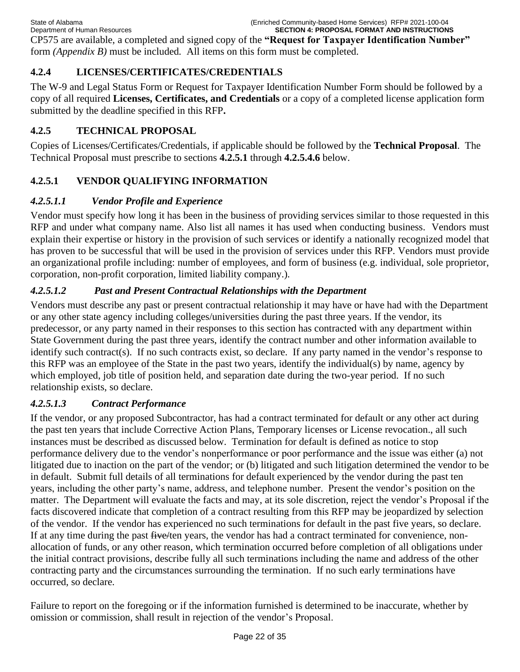CP575 are available, a completed and signed copy of the **"Request for Taxpayer Identification Number"** form *(Appendix B)* must be included*.* All items on this form must be completed.

# **4.2.4 LICENSES/CERTIFICATES/CREDENTIALS**

The W-9 and Legal Status Form or Request for Taxpayer Identification Number Form should be followed by a copy of all required **Licenses, Certificates, and Credentials** or a copy of a completed license application form submitted by the deadline specified in this RFP**.** 

# **4.2.5 TECHNICAL PROPOSAL**

Copies of Licenses/Certificates/Credentials, if applicable should be followed by the **Technical Proposal**. The Technical Proposal must prescribe to sections **4.2.5.1** through **4.2.5.4.6** below.

# **4.2.5.1 VENDOR QUALIFYING INFORMATION**

# *4.2.5.1.1 Vendor Profile and Experience*

Vendor must specify how long it has been in the business of providing services similar to those requested in this RFP and under what company name. Also list all names it has used when conducting business. Vendors must explain their expertise or history in the provision of such services or identify a nationally recognized model that has proven to be successful that will be used in the provision of services under this RFP. Vendors must provide an organizational profile including: number of employees, and form of business (e.g. individual, sole proprietor, corporation, non-profit corporation, limited liability company.).

# *4.2.5.1.2 Past and Present Contractual Relationships with the Department*

Vendors must describe any past or present contractual relationship it may have or have had with the Department or any other state agency including colleges/universities during the past three years. If the vendor, its predecessor, or any party named in their responses to this section has contracted with any department within State Government during the past three years, identify the contract number and other information available to identify such contract(s). If no such contracts exist, so declare. If any party named in the vendor's response to this RFP was an employee of the State in the past two years, identify the individual(s) by name, agency by which employed, job title of position held, and separation date during the two-year period. If no such relationship exists, so declare.

# *4.2.5.1.3 Contract Performance*

If the vendor, or any proposed Subcontractor, has had a contract terminated for default or any other act during the past ten years that include Corrective Action Plans, Temporary licenses or License revocation., all such instances must be described as discussed below. Termination for default is defined as notice to stop performance delivery due to the vendor's nonperformance or poor performance and the issue was either (a) not litigated due to inaction on the part of the vendor; or (b) litigated and such litigation determined the vendor to be in default. Submit full details of all terminations for default experienced by the vendor during the past ten years, including the other party's name, address, and telephone number. Present the vendor's position on the matter. The Department will evaluate the facts and may, at its sole discretion, reject the vendor's Proposal if the facts discovered indicate that completion of a contract resulting from this RFP may be jeopardized by selection of the vendor. If the vendor has experienced no such terminations for default in the past five years, so declare. If at any time during the past five/ten years, the vendor has had a contract terminated for convenience, nonallocation of funds, or any other reason, which termination occurred before completion of all obligations under the initial contract provisions, describe fully all such terminations including the name and address of the other contracting party and the circumstances surrounding the termination. If no such early terminations have occurred, so declare.

Failure to report on the foregoing or if the information furnished is determined to be inaccurate, whether by omission or commission, shall result in rejection of the vendor's Proposal.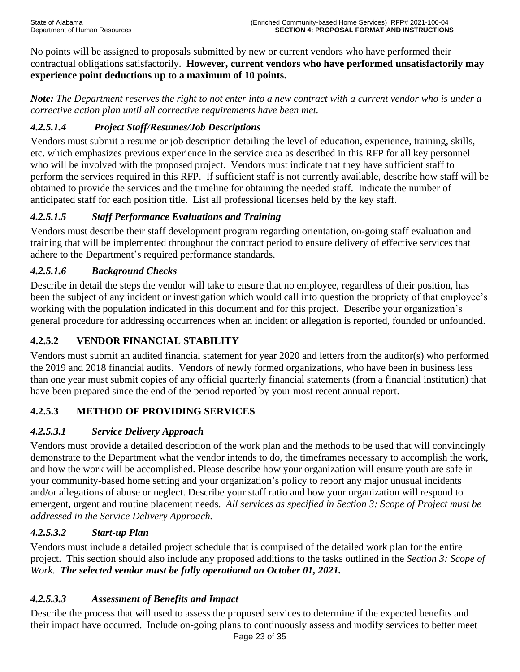No points will be assigned to proposals submitted by new or current vendors who have performed their contractual obligations satisfactorily. **However, current vendors who have performed unsatisfactorily may experience point deductions up to a maximum of 10 points.**

*Note: The Department reserves the right to not enter into a new contract with a current vendor who is under a corrective action plan until all corrective requirements have been met.* 

# *4.2.5.1.4 Project Staff/Resumes/Job Descriptions*

Vendors must submit a resume or job description detailing the level of education, experience, training, skills, etc. which emphasizes previous experience in the service area as described in this RFP for all key personnel who will be involved with the proposed project. Vendors must indicate that they have sufficient staff to perform the services required in this RFP. If sufficient staff is not currently available, describe how staff will be obtained to provide the services and the timeline for obtaining the needed staff. Indicate the number of anticipated staff for each position title. List all professional licenses held by the key staff.

# *4.2.5.1.5 Staff Performance Evaluations and Training*

Vendors must describe their staff development program regarding orientation, on-going staff evaluation and training that will be implemented throughout the contract period to ensure delivery of effective services that adhere to the Department's required performance standards.

# *4.2.5.1.6 Background Checks*

Describe in detail the steps the vendor will take to ensure that no employee, regardless of their position, has been the subject of any incident or investigation which would call into question the propriety of that employee's working with the population indicated in this document and for this project. Describe your organization's general procedure for addressing occurrences when an incident or allegation is reported, founded or unfounded.

# **4.2.5.2 VENDOR FINANCIAL STABILITY**

Vendors must submit an audited financial statement for year 2020 and letters from the auditor(s) who performed the 2019 and 2018 financial audits. Vendors of newly formed organizations, who have been in business less than one year must submit copies of any official quarterly financial statements (from a financial institution) that have been prepared since the end of the period reported by your most recent annual report.

# **4.2.5.3 METHOD OF PROVIDING SERVICES**

# *4.2.5.3.1 Service Delivery Approach*

Vendors must provide a detailed description of the work plan and the methods to be used that will convincingly demonstrate to the Department what the vendor intends to do, the timeframes necessary to accomplish the work, and how the work will be accomplished. Please describe how your organization will ensure youth are safe in your community-based home setting and your organization's policy to report any major unusual incidents and/or allegations of abuse or neglect. Describe your staff ratio and how your organization will respond to emergent, urgent and routine placement needs. *All services as specified in Section 3: Scope of Project must be addressed in the Service Delivery Approach.*

# *4.2.5.3.2 Start-up Plan*

Vendors must include a detailed project schedule that is comprised of the detailed work plan for the entire project. This section should also include any proposed additions to the tasks outlined in the *Section 3: Scope of Work. The selected vendor must be fully operational on October 01, 2021.* 

# *4.2.5.3.3 Assessment of Benefits and Impact*

Describe the process that will used to assess the proposed services to determine if the expected benefits and their impact have occurred. Include on-going plans to continuously assess and modify services to better meet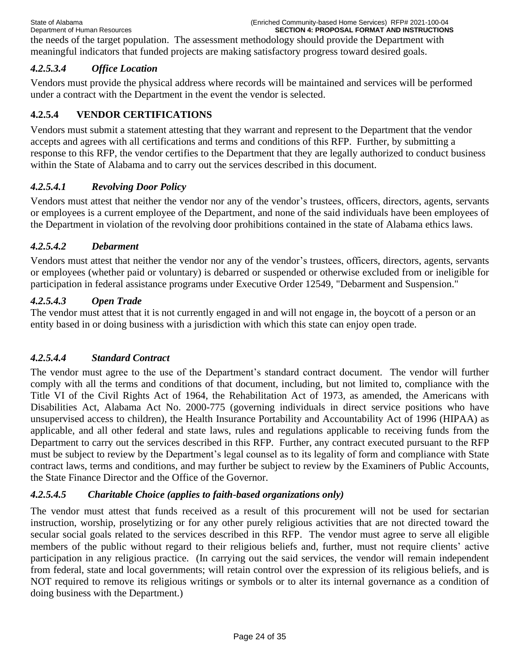the needs of the target population. The assessment methodology should provide the Department with meaningful indicators that funded projects are making satisfactory progress toward desired goals.

## *4.2.5.3.4 Office Location*

Vendors must provide the physical address where records will be maintained and services will be performed under a contract with the Department in the event the vendor is selected.

# **4.2.5.4 VENDOR CERTIFICATIONS**

Vendors must submit a statement attesting that they warrant and represent to the Department that the vendor accepts and agrees with all certifications and terms and conditions of this RFP. Further, by submitting a response to this RFP, the vendor certifies to the Department that they are legally authorized to conduct business within the State of Alabama and to carry out the services described in this document.

## *4.2.5.4.1 Revolving Door Policy*

Vendors must attest that neither the vendor nor any of the vendor's trustees, officers, directors, agents, servants or employees is a current employee of the Department, and none of the said individuals have been employees of the Department in violation of the revolving door prohibitions contained in the state of Alabama ethics laws.

## *4.2.5.4.2 Debarment*

Vendors must attest that neither the vendor nor any of the vendor's trustees, officers, directors, agents, servants or employees (whether paid or voluntary) is debarred or suspended or otherwise excluded from or ineligible for participation in federal assistance programs under Executive Order 12549, "Debarment and Suspension."

### *4.2.5.4.3 Open Trade*

The vendor must attest that it is not currently engaged in and will not engage in, the boycott of a person or an entity based in or doing business with a jurisdiction with which this state can enjoy open trade.

## *4.2.5.4.4 Standard Contract*

The vendor must agree to the use of the Department's standard contract document. The vendor will further comply with all the terms and conditions of that document, including, but not limited to, compliance with the Title VI of the Civil Rights Act of 1964, the Rehabilitation Act of 1973, as amended, the Americans with Disabilities Act, Alabama Act No. 2000-775 (governing individuals in direct service positions who have unsupervised access to children), the Health Insurance Portability and Accountability Act of 1996 (HIPAA) as applicable, and all other federal and state laws, rules and regulations applicable to receiving funds from the Department to carry out the services described in this RFP. Further, any contract executed pursuant to the RFP must be subject to review by the Department's legal counsel as to its legality of form and compliance with State contract laws, terms and conditions, and may further be subject to review by the Examiners of Public Accounts, the State Finance Director and the Office of the Governor.

## *4.2.5.4.5 Charitable Choice (applies to faith-based organizations only)*

The vendor must attest that funds received as a result of this procurement will not be used for sectarian instruction, worship, proselytizing or for any other purely religious activities that are not directed toward the secular social goals related to the services described in this RFP. The vendor must agree to serve all eligible members of the public without regard to their religious beliefs and, further, must not require clients' active participation in any religious practice. (In carrying out the said services, the vendor will remain independent from federal, state and local governments; will retain control over the expression of its religious beliefs, and is NOT required to remove its religious writings or symbols or to alter its internal governance as a condition of doing business with the Department.)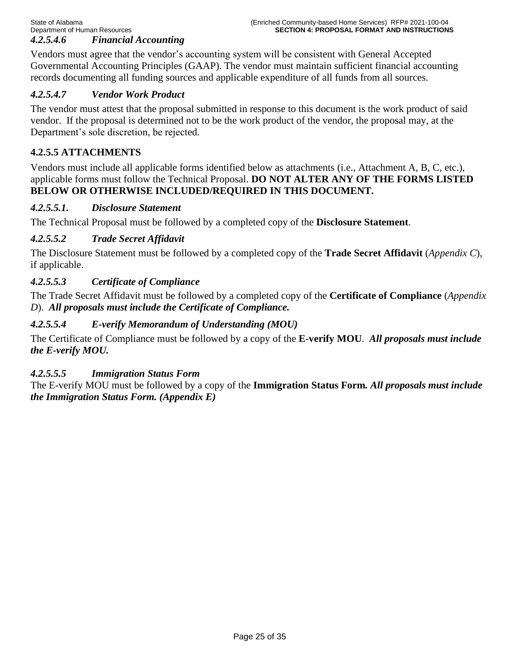Vendors must agree that the vendor's accounting system will be consistent with General Accepted Governmental Accounting Principles (GAAP). The vendor must maintain sufficient financial accounting records documenting all funding sources and applicable expenditure of all funds from all sources.

# *4.2.5.4.7 Vendor Work Product*

The vendor must attest that the proposal submitted in response to this document is the work product of said vendor. If the proposal is determined not to be the work product of the vendor, the proposal may, at the Department's sole discretion, be rejected.

# **4.2.5.5 ATTACHMENTS**

Vendors must include all applicable forms identified below as attachments (i.e., Attachment A, B, C, etc.), applicable forms must follow the Technical Proposal. **DO NOT ALTER ANY OF THE FORMS LISTED BELOW OR OTHERWISE INCLUDED/REQUIRED IN THIS DOCUMENT.**

### *4.2.5.5.1. Disclosure Statement*

The Technical Proposal must be followed by a completed copy of the **Disclosure Statement**.

## *4.2.5.5.2 Trade Secret Affidavit*

The Disclosure Statement must be followed by a completed copy of the **Trade Secret Affidavit** (*Appendix C*), if applicable.

## *4.2.5.5.3 Certificate of Compliance*

The Trade Secret Affidavit must be followed by a completed copy of the **Certificate of Compliance** (*Appendix D*). *All proposals must include the Certificate of Compliance.* 

## *4.2.5.5.4 E-verify Memorandum of Understanding (MOU)*

The Certificate of Compliance must be followed by a copy of the **E-verify MOU**. *All proposals must include the E-verify MOU.* 

## *4.2.5.5.5 Immigration Status Form*

The E-verify MOU must be followed by a copy of the **Immigration Status Form***. All proposals must include the Immigration Status Form. (Appendix E)*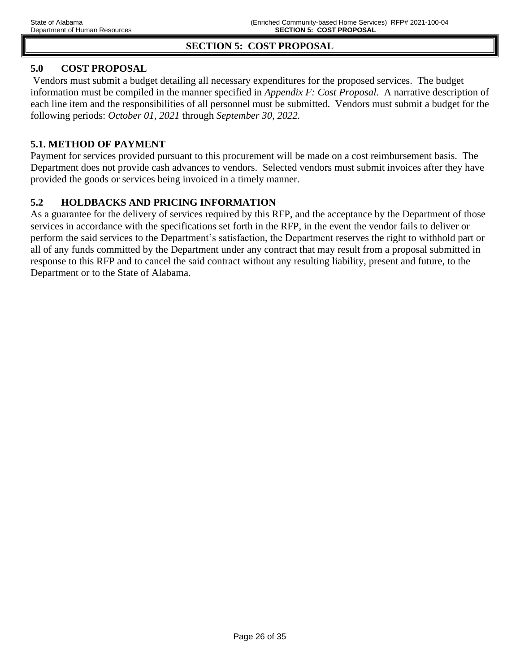# **SECTION 5: COST PROPOSAL**

# **5.0 COST PROPOSAL**

Vendors must submit a budget detailing all necessary expenditures for the proposed services. The budget information must be compiled in the manner specified in *Appendix F: Cost Proposal*. A narrative description of each line item and the responsibilities of all personnel must be submitted. Vendors must submit a budget for the following periods: *October 01, 2021* through *September 30, 2022.*

### **5.1. METHOD OF PAYMENT**

Payment for services provided pursuant to this procurement will be made on a cost reimbursement basis.The Department does not provide cash advances to vendors. Selected vendors must submit invoices after they have provided the goods or services being invoiced in a timely manner.

## **5.2 HOLDBACKS AND PRICING INFORMATION**

As a guarantee for the delivery of services required by this RFP, and the acceptance by the Department of those services in accordance with the specifications set forth in the RFP, in the event the vendor fails to deliver or perform the said services to the Department's satisfaction, the Department reserves the right to withhold part or all of any funds committed by the Department under any contract that may result from a proposal submitted in response to this RFP and to cancel the said contract without any resulting liability, present and future, to the Department or to the State of Alabama.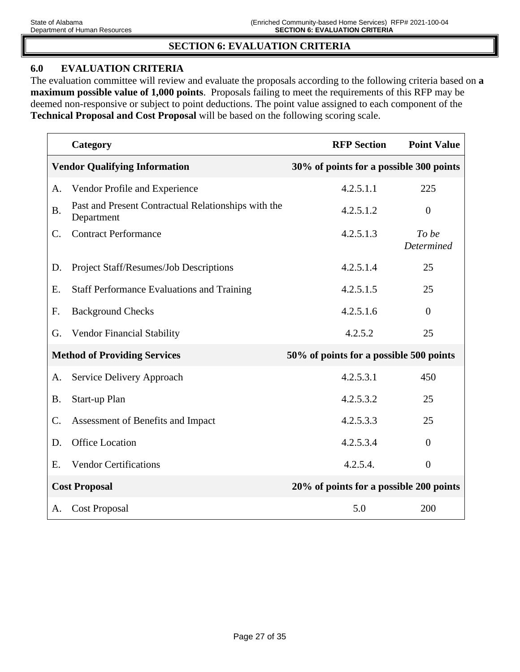## **SECTION 6: EVALUATION CRITERIA**

### **6.0 EVALUATION CRITERIA**

The evaluation committee will review and evaluate the proposals according to the following criteria based on **a maximum possible value of 1,000 points**. Proposals failing to meet the requirements of this RFP may be deemed non-responsive or subject to point deductions. The point value assigned to each component of the **Technical Proposal and Cost Proposal** will be based on the following scoring scale.

|           | Category                                                          | <b>RFP Section</b>                      | <b>Point Value</b>  |
|-----------|-------------------------------------------------------------------|-----------------------------------------|---------------------|
|           | <b>Vendor Qualifying Information</b>                              | 30% of points for a possible 300 points |                     |
| A.        | Vendor Profile and Experience                                     | 4.2.5.1.1                               | 225                 |
| <b>B.</b> | Past and Present Contractual Relationships with the<br>Department | 4.2.5.1.2                               | $\overline{0}$      |
| C.        | <b>Contract Performance</b>                                       | 4.2.5.1.3                               | To be<br>Determined |
| D.        | Project Staff/Resumes/Job Descriptions                            | 4.2.5.1.4                               | 25                  |
| Ε.        | <b>Staff Performance Evaluations and Training</b>                 | 4.2.5.1.5                               | 25                  |
| F.        | <b>Background Checks</b>                                          | 4.2.5.1.6                               | $\theta$            |
| G.        | <b>Vendor Financial Stability</b>                                 | 4.2.5.2                                 | 25                  |
|           | <b>Method of Providing Services</b>                               | 50% of points for a possible 500 points |                     |
| А.        | Service Delivery Approach                                         | 4.2.5.3.1                               | 450                 |
| <b>B.</b> | Start-up Plan                                                     | 4.2.5.3.2                               | 25                  |
| C.        | Assessment of Benefits and Impact                                 | 4.2.5.3.3                               | 25                  |
| D.        | <b>Office Location</b>                                            | 4.2.5.3.4                               | $\theta$            |
| E.        | <b>Vendor Certifications</b>                                      | 4.2.5.4.                                | $\overline{0}$      |
|           | <b>Cost Proposal</b>                                              | 20% of points for a possible 200 points |                     |
| А.        | <b>Cost Proposal</b>                                              | 5.0                                     | 200                 |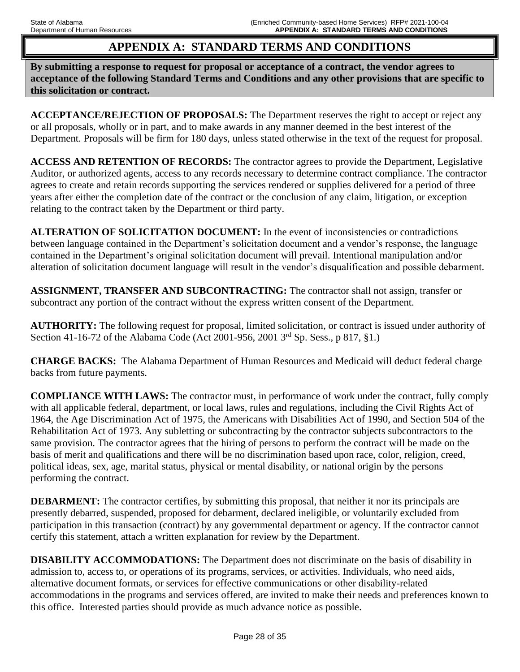# **APPENDIX A: STANDARD TERMS AND CONDITIONS**

**By submitting a response to request for proposal or acceptance of a contract, the vendor agrees to acceptance of the following Standard Terms and Conditions and any other provisions that are specific to this solicitation or contract.** 

**ACCEPTANCE/REJECTION OF PROPOSALS:** The Department reserves the right to accept or reject any or all proposals, wholly or in part, and to make awards in any manner deemed in the best interest of the Department. Proposals will be firm for 180 days, unless stated otherwise in the text of the request for proposal.

**ACCESS AND RETENTION OF RECORDS:** The contractor agrees to provide the Department, Legislative Auditor, or authorized agents, access to any records necessary to determine contract compliance. The contractor agrees to create and retain records supporting the services rendered or supplies delivered for a period of three years after either the completion date of the contract or the conclusion of any claim, litigation, or exception relating to the contract taken by the Department or third party.

**ALTERATION OF SOLICITATION DOCUMENT:** In the event of inconsistencies or contradictions between language contained in the Department's solicitation document and a vendor's response, the language contained in the Department's original solicitation document will prevail. Intentional manipulation and/or alteration of solicitation document language will result in the vendor's disqualification and possible debarment.

**ASSIGNMENT, TRANSFER AND SUBCONTRACTING:** The contractor shall not assign, transfer or subcontract any portion of the contract without the express written consent of the Department.

**AUTHORITY:** The following request for proposal, limited solicitation, or contract is issued under authority of Section 41-16-72 of the Alabama Code (Act 2001-956, 2001 3rd Sp. Sess., p 817, §1.)

**CHARGE BACKS:** The Alabama Department of Human Resources and Medicaid will deduct federal charge backs from future payments.

**COMPLIANCE WITH LAWS:** The contractor must, in performance of work under the contract, fully comply with all applicable federal, department, or local laws, rules and regulations, including the Civil Rights Act of 1964, the Age Discrimination Act of 1975, the Americans with Disabilities Act of 1990, and Section 504 of the Rehabilitation Act of 1973. Any subletting or subcontracting by the contractor subjects subcontractors to the same provision. The contractor agrees that the hiring of persons to perform the contract will be made on the basis of merit and qualifications and there will be no discrimination based upon race, color, religion, creed, political ideas, sex, age, marital status, physical or mental disability, or national origin by the persons performing the contract.

**DEBARMENT:** The contractor certifies, by submitting this proposal, that neither it nor its principals are presently debarred, suspended, proposed for debarment, declared ineligible, or voluntarily excluded from participation in this transaction (contract) by any governmental department or agency. If the contractor cannot certify this statement, attach a written explanation for review by the Department.

**DISABILITY ACCOMMODATIONS:** The Department does not discriminate on the basis of disability in admission to, access to, or operations of its programs, services, or activities. Individuals, who need aids, alternative document formats, or services for effective communications or other disability-related accommodations in the programs and services offered, are invited to make their needs and preferences known to this office. Interested parties should provide as much advance notice as possible.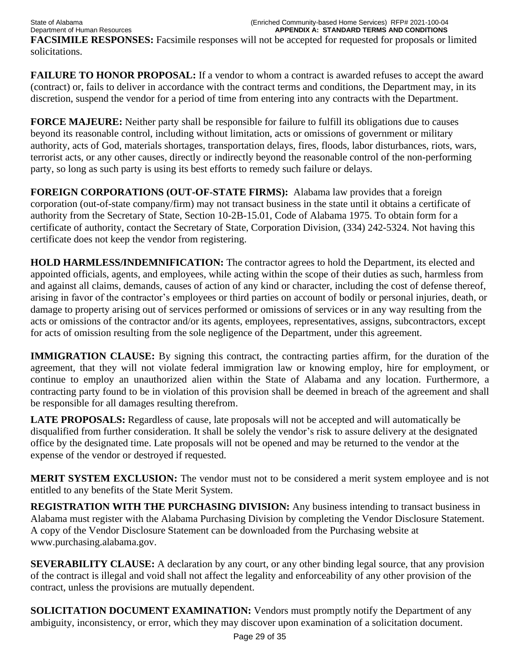State of Alabama (Enriched Community-based Home Services) RFP# 2021-100-04 **APPENDIX A: STANDARD TERMS AND CONDITIONS FACSIMILE RESPONSES:** Facsimile responses will not be accepted for requested for proposals or limited solicitations.

**FAILURE TO HONOR PROPOSAL:** If a vendor to whom a contract is awarded refuses to accept the award (contract) or, fails to deliver in accordance with the contract terms and conditions, the Department may, in its discretion, suspend the vendor for a period of time from entering into any contracts with the Department.

**FORCE MAJEURE:** Neither party shall be responsible for failure to fulfill its obligations due to causes beyond its reasonable control, including without limitation, acts or omissions of government or military authority, acts of God, materials shortages, transportation delays, fires, floods, labor disturbances, riots, wars, terrorist acts, or any other causes, directly or indirectly beyond the reasonable control of the non-performing party, so long as such party is using its best efforts to remedy such failure or delays.

**FOREIGN CORPORATIONS (OUT-OF-STATE FIRMS):** Alabama law provides that a foreign corporation (out-of-state company/firm) may not transact business in the state until it obtains a certificate of authority from the Secretary of State, Section 10-2B-15.01, Code of Alabama 1975. To obtain form for a certificate of authority, contact the Secretary of State, Corporation Division, (334) 242-5324. Not having this certificate does not keep the vendor from registering.

**HOLD HARMLESS/INDEMNIFICATION:** The contractor agrees to hold the Department, its elected and appointed officials, agents, and employees, while acting within the scope of their duties as such, harmless from and against all claims, demands, causes of action of any kind or character, including the cost of defense thereof, arising in favor of the contractor's employees or third parties on account of bodily or personal injuries, death, or damage to property arising out of services performed or omissions of services or in any way resulting from the acts or omissions of the contractor and/or its agents, employees, representatives, assigns, subcontractors, except for acts of omission resulting from the sole negligence of the Department, under this agreement.

**IMMIGRATION CLAUSE:** By signing this contract, the contracting parties affirm, for the duration of the agreement, that they will not violate federal immigration law or knowing employ, hire for employment, or continue to employ an unauthorized alien within the State of Alabama and any location. Furthermore, a contracting party found to be in violation of this provision shall be deemed in breach of the agreement and shall be responsible for all damages resulting therefrom.

**LATE PROPOSALS:** Regardless of cause, late proposals will not be accepted and will automatically be disqualified from further consideration. It shall be solely the vendor's risk to assure delivery at the designated office by the designated time. Late proposals will not be opened and may be returned to the vendor at the expense of the vendor or destroyed if requested.

**MERIT SYSTEM EXCLUSION:** The vendor must not to be considered a merit system employee and is not entitled to any benefits of the State Merit System.

**REGISTRATION WITH THE PURCHASING DIVISION:** Any business intending to transact business in Alabama must register with the Alabama Purchasing Division by completing the Vendor Disclosure Statement. A copy of the Vendor Disclosure Statement can be downloaded from the Purchasing website at www.purchasing.alabama.gov.

**SEVERABILITY CLAUSE:** A declaration by any court, or any other binding legal source, that any provision of the contract is illegal and void shall not affect the legality and enforceability of any other provision of the contract, unless the provisions are mutually dependent.

**SOLICITATION DOCUMENT EXAMINATION:** Vendors must promptly notify the Department of any ambiguity, inconsistency, or error, which they may discover upon examination of a solicitation document.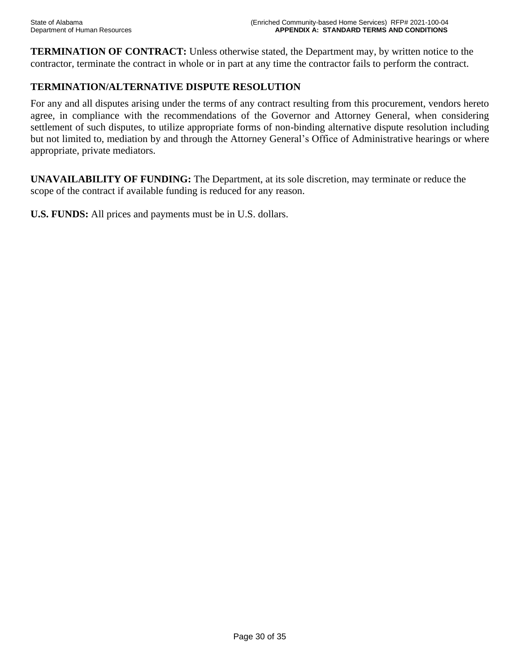**TERMINATION OF CONTRACT:** Unless otherwise stated, the Department may, by written notice to the contractor, terminate the contract in whole or in part at any time the contractor fails to perform the contract.

# **TERMINATION/ALTERNATIVE DISPUTE RESOLUTION**

For any and all disputes arising under the terms of any contract resulting from this procurement, vendors hereto agree, in compliance with the recommendations of the Governor and Attorney General, when considering settlement of such disputes, to utilize appropriate forms of non-binding alternative dispute resolution including but not limited to, mediation by and through the Attorney General's Office of Administrative hearings or where appropriate, private mediators.

**UNAVAILABILITY OF FUNDING:** The Department, at its sole discretion, may terminate or reduce the scope of the contract if available funding is reduced for any reason.

**U.S. FUNDS:** All prices and payments must be in U.S. dollars.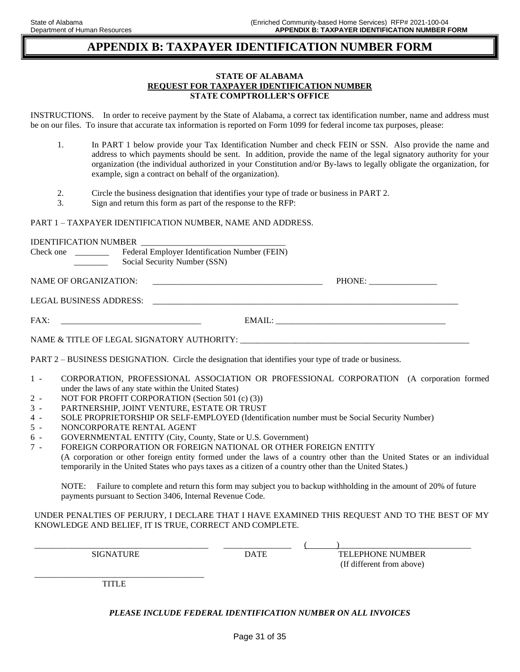# **APPENDIX B: TAXPAYER IDENTIFICATION NUMBER FORM**

#### **STATE OF ALABAMA REQUEST FOR TAXPAYER IDENTIFICATION NUMBER STATE COMPTROLLER'S OFFICE**

INSTRUCTIONS. In order to receive payment by the State of Alabama, a correct tax identification number, name and address must be on our files. To insure that accurate tax information is reported on Form 1099 for federal income tax purposes, please:

| In PART 1 below provide your Tax Identification Number and check FEIN or SSN. Also provide the name and               |
|-----------------------------------------------------------------------------------------------------------------------|
| address to which payments should be sent. In addition, provide the name of the legal signatory authority for your     |
| organization (the individual authorized in your Constitution and/or By-laws to legally obligate the organization, for |
| example, sign a contract on behalf of the organization).                                                              |

- 2. Circle the business designation that identifies your type of trade or business in PART 2.
- 3. Sign and return this form as part of the response to the RFP:

#### PART 1 – TAXPAYER IDENTIFICATION NUMBER, NAME AND ADDRESS.

|                       | Check one ______________ Federal Employer Identification Number (FEIN)<br>Social Security Number (SSN)                                           |  |
|-----------------------|--------------------------------------------------------------------------------------------------------------------------------------------------|--|
| NAME OF ORGANIZATION: |                                                                                                                                                  |  |
|                       |                                                                                                                                                  |  |
|                       |                                                                                                                                                  |  |
|                       | NAME & TITLE OF LEGAL SIGNATORY AUTHORITY: NAME & TITLE OF LEGAL SIGNATORY AUTHORITY:                                                            |  |
|                       | PART 2 – BUSINESS DESIGNATION. Circle the designation that identifies your type of trade or business.                                            |  |
| $1 -$                 | CORPORATION, PROFESSIONAL ASSOCIATION OR PROFESSIONAL CORPORATION (A corporation formed<br>under the laws of any state within the United States) |  |
| $2 -$                 | NOT FOR PROFIT CORPORATION (Section 501 (c) (3))                                                                                                 |  |
| $3 -$                 | PARTNERSHIP, JOINT VENTURE, ESTATE OR TRUST                                                                                                      |  |
| $4 -$                 | SOLE PROPRIETORSHIP OR SELF-EMPLOYED (Identification number must be Social Security Number)                                                      |  |
| $5 -$<br>$6 -$        | NONCORPORATE RENTAL AGENT<br>GOVERNMENTAL ENTITY (City, County, State or U.S. Government)                                                        |  |
| $7 -$                 | FOREIGN CORPORATION OR FOREIGN NATIONAL OR OTHER FOREIGN ENTITY                                                                                  |  |
|                       | (A corporation or other foreign entity formed under the laws of a country other than the United States or an individual                          |  |
|                       | temporarily in the United States who pays taxes as a citizen of a country other than the United States.)                                         |  |

NOTE: Failure to complete and return this form may subject you to backup withholding in the amount of 20% of future payments pursuant to Section 3406, Internal Revenue Code.

#### UNDER PENALTIES OF PERJURY, I DECLARE THAT I HAVE EXAMINED THIS REQUEST AND TO THE BEST OF MY KNOWLEDGE AND BELIEF, IT IS TRUE, CORRECT AND COMPLETE.

 $\overline{\phantom{a}}$  , and the set of the set of the set of the set of the set of the set of the set of the set of the set of the set of the set of the set of the set of the set of the set of the set of the set of the set of the s SIGNATURE DATE DATE TELEPHONE NUMBER (If different from above)

\_\_\_\_\_\_\_\_\_\_\_\_\_\_\_\_\_\_\_\_\_\_\_\_\_\_\_\_\_\_\_\_\_\_\_\_\_\_\_\_ TITLE

#### *PLEASE INCLUDE FEDERAL IDENTIFICATION NUMBER ON ALL INVOICES*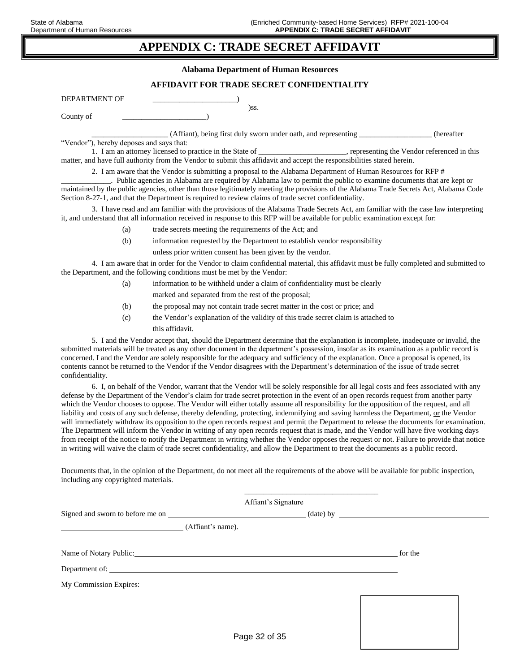# **APPENDIX C: TRADE SECRET AFFIDAVIT**

**Alabama Department of Human Resources** 

#### **AFFIDAVIT FOR TRADE SECRET CONFIDENTIALITY**

)ss.

| DEPARTMENT OF |  |
|---------------|--|
| County of     |  |

\_\_\_\_\_\_\_\_\_\_\_\_\_\_\_\_\_\_\_\_ (Affiant), being first duly sworn under oath, and representing \_\_\_\_\_\_\_\_\_\_\_\_\_\_\_\_\_\_\_ (hereafter

"Vendor"), hereby deposes and says that:

1. I am an attorney licensed to practice in the State of \_\_\_\_\_\_\_\_\_\_\_\_, representing the Vendor referenced in this matter, and have full authority from the Vendor to submit this affidavit and accept the responsibilities stated herein.

2. I am aware that the Vendor is submitting a proposal to the Alabama Department of Human Resources for RFP #

\_\_\_\_\_\_\_\_\_\_\_\_\_. Public agencies in Alabama are required by Alabama law to permit the public to examine documents that are kept or maintained by the public agencies, other than those legitimately meeting the provisions of the Alabama Trade Secrets Act, Alabama Code Section 8-27-1, and that the Department is required to review claims of trade secret confidentiality.

3. I have read and am familiar with the provisions of the Alabama Trade Secrets Act, am familiar with the case law interpreting it, and understand that all information received in response to this RFP will be available for public examination except for:

- (a) trade secrets meeting the requirements of the Act; and
- (b) information requested by the Department to establish vendor responsibility

unless prior written consent has been given by the vendor.

4. I am aware that in order for the Vendor to claim confidential material, this affidavit must be fully completed and submitted to the Department, and the following conditions must be met by the Vendor:

- (a) information to be withheld under a claim of confidentiality must be clearly marked and separated from the rest of the proposal;
- (b) the proposal may not contain trade secret matter in the cost or price; and
- (c) the Vendor's explanation of the validity of this trade secret claim is attached to this affidavit.

5. I and the Vendor accept that, should the Department determine that the explanation is incomplete, inadequate or invalid, the submitted materials will be treated as any other document in the department's possession, insofar as its examination as a public record is concerned. I and the Vendor are solely responsible for the adequacy and sufficiency of the explanation. Once a proposal is opened, its contents cannot be returned to the Vendor if the Vendor disagrees with the Department's determination of the issue of trade secret confidentiality.

6. I, on behalf of the Vendor, warrant that the Vendor will be solely responsible for all legal costs and fees associated with any defense by the Department of the Vendor's claim for trade secret protection in the event of an open records request from another party which the Vendor chooses to oppose. The Vendor will either totally assume all responsibility for the opposition of the request, and all liability and costs of any such defense, thereby defending, protecting, indemnifying and saving harmless the Department, or the Vendor will immediately withdraw its opposition to the open records request and permit the Department to release the documents for examination. The Department will inform the Vendor in writing of any open records request that is made, and the Vendor will have five working days from receipt of the notice to notify the Department in writing whether the Vendor opposes the request or not. Failure to provide that notice in writing will waive the claim of trade secret confidentiality, and allow the Department to treat the documents as a public record.

Documents that, in the opinion of the Department, do not meet all the requirements of the above will be available for public inspection, including any copyrighted materials.

\_\_\_\_\_\_\_\_\_\_\_\_\_\_\_\_\_\_\_\_\_\_\_\_\_\_\_\_\_\_\_\_\_\_\_

|                                                                                                                                                                                                                                |                   | Affiant's Signature |         |  |
|--------------------------------------------------------------------------------------------------------------------------------------------------------------------------------------------------------------------------------|-------------------|---------------------|---------|--|
|                                                                                                                                                                                                                                |                   |                     |         |  |
|                                                                                                                                                                                                                                | (Affiant's name). |                     |         |  |
| Name of Notary Public: Name of Notary Public:                                                                                                                                                                                  |                   |                     | for the |  |
|                                                                                                                                                                                                                                |                   |                     |         |  |
| My Commission Expires: 1988 and 2008 and 2008 and 2008 and 2008 and 2008 and 2008 and 2008 and 2008 and 2008 and 2008 and 2008 and 2008 and 2008 and 2008 and 2008 and 2008 and 2008 and 2008 and 2008 and 2008 and 2008 and 2 |                   |                     |         |  |
|                                                                                                                                                                                                                                |                   |                     |         |  |
|                                                                                                                                                                                                                                |                   |                     |         |  |
|                                                                                                                                                                                                                                | Dose020000000000  |                     |         |  |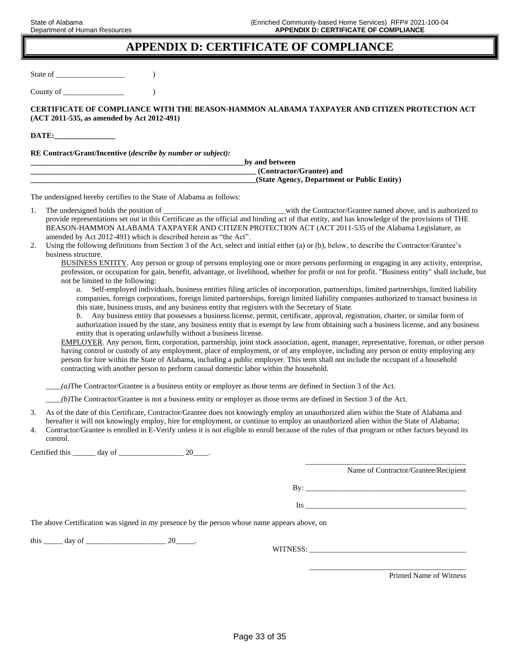# **APPENDIX D: CERTIFICATE OF COMPLIANCE**

State of \_\_\_\_\_\_\_\_\_\_\_\_\_\_\_\_\_\_ )

County of  $\qquad \qquad$  )

**CERTIFICATE OF COMPLIANCE WITH THE BEASON-HAMMON ALABAMA TAXPAYER AND CITIZEN PROTECTION ACT (ACT 2011-535, as amended by Act 2012-491)**

**DATE:\_\_\_\_\_\_\_\_\_\_\_\_\_\_\_\_**

**RE Contract/Grant/Incentive (***describe by number or subject):*

| by and between                              |  |
|---------------------------------------------|--|
| (Contractor/Grantee) and                    |  |
| (State Agency, Department or Public Entity) |  |

The undersigned hereby certifies to the State of Alabama as follows:

- 1. The undersigned holds the position of \_\_\_\_\_\_\_\_\_\_\_\_\_\_\_\_\_\_\_\_\_\_\_\_\_\_\_\_\_\_with the Contractor/Grantee named above, and is authorized to provide representations set out in this Certificate as the official and binding act of that entity, and has knowledge of the provisions of THE BEASON-HAMMON ALABAMA TAXPAYER AND CITIZEN PROTECTION ACT (ACT 2011-535 of the Alabama Legislature, as amended by Act 2012-491) which is described herein as "the Act".
- 2. Using the following definitions from Section 3 of the Act, select and initial either (a) or (b), below, to describe the Contractor/Grantee's business structure.

BUSINESS ENTITY. Any person or group of persons employing one or more persons performing or engaging in any activity, enterprise, profession, or occupation for gain, benefit, advantage, or livelihood, whether for profit or not for profit. "Business entity" shall include, but not be limited to the following:

*a.* Self-employed individuals, business entities filing articles of incorporation, partnerships, limited partnerships, limited liability companies, foreign corporations, foreign limited partnerships, foreign limited liability companies authorized to transact business in this state, business trusts, and any business entity that registers with the Secretary of State.

*b.* Any business entity that possesses a business license, permit, certificate, approval, registration, charter, or similar form of authorization issued by the state, any business entity that is exempt by law from obtaining such a business license, and any business entity that is operating unlawfully without a business license.

EMPLOYER. Any person, firm, corporation, partnership, joint stock association, agent, manager, representative, foreman, or other person having control or custody of any employment, place of employment, or of any employee, including any person or entity employing any person for hire within the State of Alabama, including a public employer. This term shall not include the occupant of a household contracting with another person to perform casual domestic labor within the household.

*\_\_\_\_(a)*The Contractor/Grantee is a business entity or employer as those terms are defined in Section 3 of the Act.

*\_\_\_\_(b)*The Contractor/Grantee is not a business entity or employer as those terms are defined in Section 3 of the Act.

- 3. As of the date of this Certificate, Contractor/Grantee does not knowingly employ an unauthorized alien within the State of Alabama and hereafter it will not knowingly employ, hire for employment, or continue to employ an unauthorized alien within the State of Alabama;
- 4. Contractor/Grantee is enrolled in E-Verify unless it is not eligible to enroll because of the rules of that program or other factors beyond its control.

Certified this day of 20 and 20

Name of Contractor/Grantee/Recipient

 $\mathbf{B} \mathbf{v}$ :

\_\_\_\_\_\_\_\_\_\_\_\_\_\_\_\_\_\_\_\_\_\_\_\_\_\_\_\_\_\_\_\_\_\_\_\_\_\_\_\_\_\_

 $Its$   $\qquad \qquad$ 

\_\_\_\_\_\_\_\_\_\_\_\_\_\_\_\_\_\_\_\_\_\_\_\_\_\_\_\_\_\_\_\_\_\_\_\_\_\_\_\_\_

The above Certification was signed in my presence by the person whose name appears above, on

this \_\_\_\_\_ day of \_\_\_\_\_\_\_\_\_\_\_\_\_\_\_\_\_\_\_\_\_ 20\_\_\_\_\_.

WITNESS: \_\_\_\_\_\_\_\_\_\_\_\_\_\_\_\_\_\_\_\_\_\_\_\_\_\_\_\_\_\_\_\_\_\_\_\_\_\_\_\_\_

Printed Name of Witness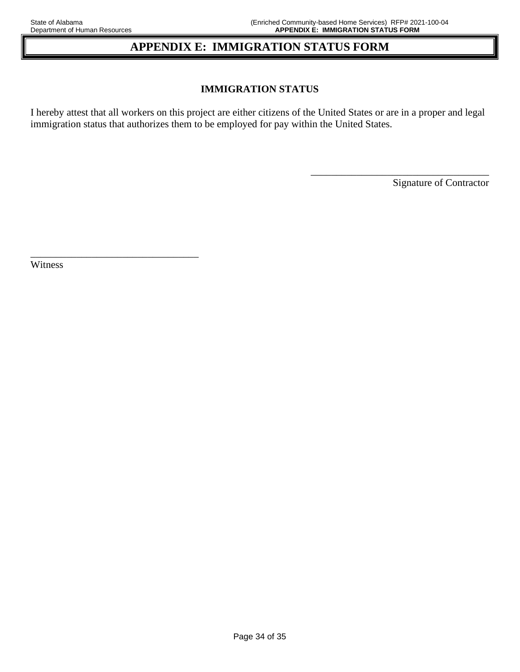# **APPENDIX E: IMMIGRATION STATUS FORM**

### **IMMIGRATION STATUS**

I hereby attest that all workers on this project are either citizens of the United States or are in a proper and legal immigration status that authorizes them to be employed for pay within the United States.

Signature of Contractor

\_\_\_\_\_\_\_\_\_\_\_\_\_\_\_\_\_\_\_\_\_\_\_\_\_\_\_\_\_\_\_\_\_\_\_

Witness

\_\_\_\_\_\_\_\_\_\_\_\_\_\_\_\_\_\_\_\_\_\_\_\_\_\_\_\_\_\_\_\_\_